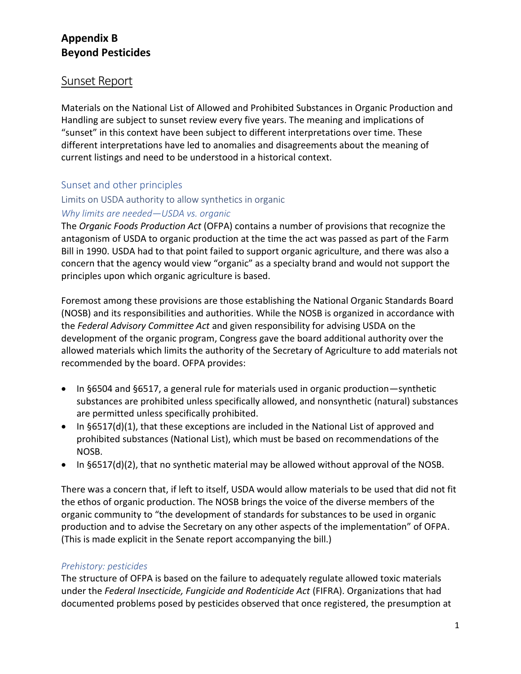# **Appendix B Beyond Pesticides**

# Sunset Report

Materials on the National List of Allowed and Prohibited Substances in Organic Production and Handling are subject to sunset review every five years. The meaning and implications of "sunset" in this context have been subject to different interpretations over time. These different interpretations have led to anomalies and disagreements about the meaning of current listings and need to be understood in a historical context.

## Sunset and other principles

## Limits on USDA authority to allow synthetics in organic

### *Why limits are needed—USDA vs. organic*

The *Organic Foods Production Act* (OFPA) contains a number of provisions that recognize the antagonism of USDA to organic production at the time the act was passed as part of the Farm Bill in 1990. USDA had to that point failed to support organic agriculture, and there was also a concern that the agency would view "organic" as a specialty brand and would not support the principles upon which organic agriculture is based.

Foremost among these provisions are those establishing the National Organic Standards Board (NOSB) and its responsibilities and authorities. While the NOSB is organized in accordance with the *Federal Advisory Committee Act* and given responsibility for advising USDA on the development of the organic program, Congress gave the board additional authority over the allowed materials which limits the authority of the Secretary of Agriculture to add materials not recommended by the board. OFPA provides:

- In §6504 and §6517, a general rule for materials used in organic production—synthetic substances are prohibited unless specifically allowed, and nonsynthetic (natural) substances are permitted unless specifically prohibited.
- In §6517(d)(1), that these exceptions are included in the National List of approved and prohibited substances (National List), which must be based on recommendations of the NOSB.
- In §6517(d)(2), that no synthetic material may be allowed without approval of the NOSB.

There was a concern that, if left to itself, USDA would allow materials to be used that did not fit the ethos of organic production. The NOSB brings the voice of the diverse members of the organic community to "the development of standards for substances to be used in organic production and to advise the Secretary on any other aspects of the implementation" of OFPA. (This is made explicit in the Senate report accompanying the bill.)

### *Prehistory: pesticides*

The structure of OFPA is based on the failure to adequately regulate allowed toxic materials under the *Federal Insecticide, Fungicide and Rodenticide Act* (FIFRA). Organizations that had documented problems posed by pesticides observed that once registered, the presumption at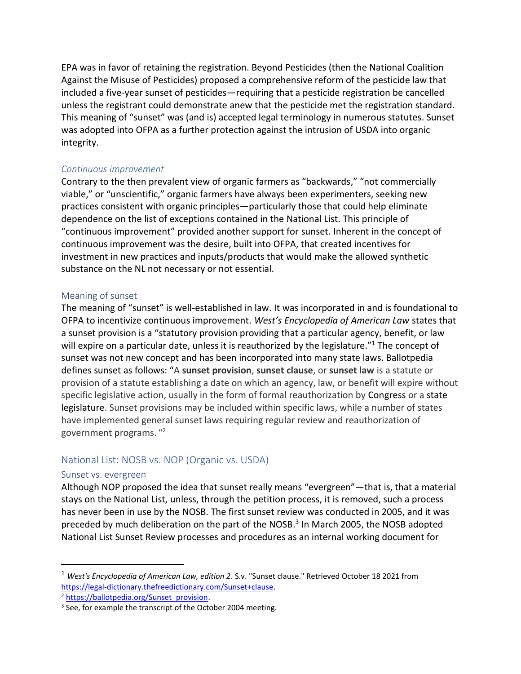EPA was in favor of retaining the registration. Beyond Pesticides (then the National Coalition Against the Misuse of Pesticides) proposed a comprehensive reform of the pesticide law that included a five-year sunset of pesticides—requiring that a pesticide registration be cancelled unless the registrant could demonstrate anew that the pesticide met the registration standard. This meaning of "sunset" was (and is) accepted legal terminology in numerous statutes. Sunset was adopted into OFPA as a further protection against the intrusion of USDA into organic integrity.

#### *Continuous improvement*

Contrary to the then prevalent view of organic farmers as "backwards," "not commercially viable," or "unscientific," organic farmers have always been experimenters, seeking new practices consistent with organic principles—particularly those that could help eliminate dependence on the list of exceptions contained in the National List. This principle of "continuous improvement" provided another support for sunset. Inherent in the concept of continuous improvement was the desire, built into OFPA, that created incentives for investment in new practices and inputs/products that would make the allowed synthetic substance on the NL not necessary or not essential.

#### Meaning of sunset

The meaning of "sunset" is well-established in law. It was incorporated in and is foundational to OFPA to incentivize continuous improvement. *West's Encyclopedia of American Law* states that a sunset provision is a "statutory provision providing that a particular agency, benefit, or law will expire on a particular date, unless it is reauthorized by the legislature."<sup>1</sup> The concept of sunset was not new concept and has been incorporated into many state laws. Ballotpedia defines sunset as follows: "A **sunset provision**, **sunset clause**, or **sunset law** is a statute or provision of a statute establishing a date on which an agency, law, or benefit will expire without specific legislative action, usually in the form of formal reauthorization by Congress or a state legislature. Sunset provisions may be included within specific laws, while a number of states have implemented general sunset laws requiring regular review and reauthorization of government programs. " 2

## National List: NOSB vs. NOP (Organic vs. USDA)

### Sunset vs. evergreen

Although NOP proposed the idea that sunset really means "evergreen"—that is, that a material stays on the National List, unless, through the petition process, it is removed, such a process has never been in use by the NOSB. The first sunset review was conducted in 2005, and it was preceded by much deliberation on the part of the NOSB. 3 In March 2005, the NOSB adopted National List Sunset Review processes and procedures as an internal working document for

<sup>1</sup> *West's Encyclopedia of American Law, edition 2*. S.v. "Sunset clause." Retrieved October 18 2021 from [https://legal-dictionary.thefreedictionary.com/Sunset+clause.](https://legal-dictionary.thefreedictionary.com/Sunset+clause)

<sup>&</sup>lt;sup>2</sup> [https://ballotpedia.org/Sunset\\_provision.](https://ballotpedia.org/Sunset_provision)

<sup>&</sup>lt;sup>3</sup> See, for example the transcript of the October 2004 meeting.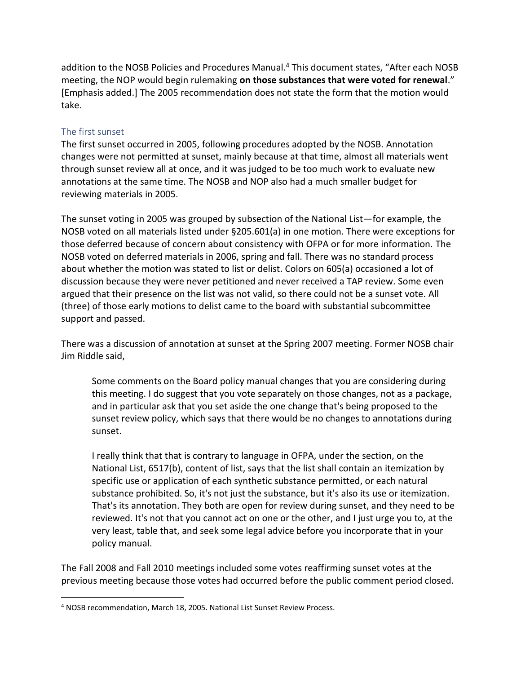addition to the NOSB Policies and Procedures Manual.<sup>4</sup> This document states, "After each NOSB meeting, the NOP would begin rulemaking **on those substances that were voted for renewal**." [Emphasis added.] The 2005 recommendation does not state the form that the motion would take.

#### The first sunset

The first sunset occurred in 2005, following procedures adopted by the NOSB. Annotation changes were not permitted at sunset, mainly because at that time, almost all materials went through sunset review all at once, and it was judged to be too much work to evaluate new annotations at the same time. The NOSB and NOP also had a much smaller budget for reviewing materials in 2005.

The sunset voting in 2005 was grouped by subsection of the National List—for example, the NOSB voted on all materials listed under §205.601(a) in one motion. There were exceptions for those deferred because of concern about consistency with OFPA or for more information. The NOSB voted on deferred materials in 2006, spring and fall. There was no standard process about whether the motion was stated to list or delist. Colors on 605(a) occasioned a lot of discussion because they were never petitioned and never received a TAP review. Some even argued that their presence on the list was not valid, so there could not be a sunset vote. All (three) of those early motions to delist came to the board with substantial subcommittee support and passed.

There was a discussion of annotation at sunset at the Spring 2007 meeting. Former NOSB chair Jim Riddle said,

Some comments on the Board policy manual changes that you are considering during this meeting. I do suggest that you vote separately on those changes, not as a package, and in particular ask that you set aside the one change that's being proposed to the sunset review policy, which says that there would be no changes to annotations during sunset.

I really think that that is contrary to language in OFPA, under the section, on the National List, 6517(b), content of list, says that the list shall contain an itemization by specific use or application of each synthetic substance permitted, or each natural substance prohibited. So, it's not just the substance, but it's also its use or itemization. That's its annotation. They both are open for review during sunset, and they need to be reviewed. It's not that you cannot act on one or the other, and I just urge you to, at the very least, table that, and seek some legal advice before you incorporate that in your policy manual.

The Fall 2008 and Fall 2010 meetings included some votes reaffirming sunset votes at the previous meeting because those votes had occurred before the public comment period closed.

<sup>4</sup> NOSB recommendation, March 18, 2005. National List Sunset Review Process.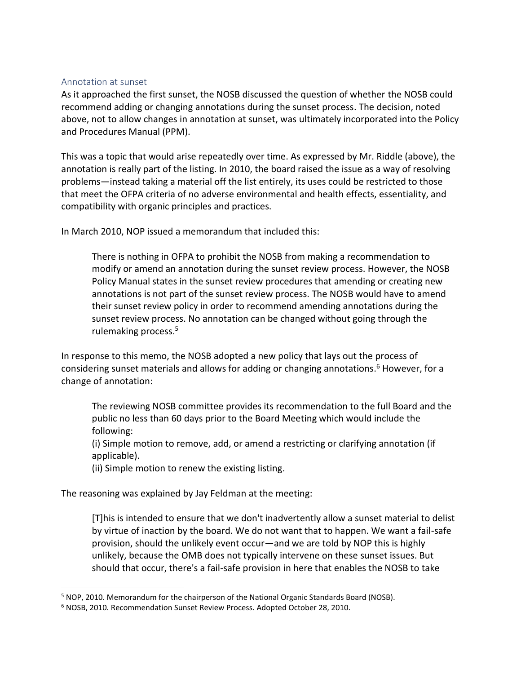#### Annotation at sunset

As it approached the first sunset, the NOSB discussed the question of whether the NOSB could recommend adding or changing annotations during the sunset process. The decision, noted above, not to allow changes in annotation at sunset, was ultimately incorporated into the Policy and Procedures Manual (PPM).

This was a topic that would arise repeatedly over time. As expressed by Mr. Riddle (above), the annotation is really part of the listing. In 2010, the board raised the issue as a way of resolving problems—instead taking a material off the list entirely, its uses could be restricted to those that meet the OFPA criteria of no adverse environmental and health effects, essentiality, and compatibility with organic principles and practices.

In March 2010, NOP issued a memorandum that included this:

There is nothing in OFPA to prohibit the NOSB from making a recommendation to modify or amend an annotation during the sunset review process. However, the NOSB Policy Manual states in the sunset review procedures that amending or creating new annotations is not part of the sunset review process. The NOSB would have to amend their sunset review policy in order to recommend amending annotations during the sunset review process. No annotation can be changed without going through the rulemaking process.<sup>5</sup>

In response to this memo, the NOSB adopted a new policy that lays out the process of considering sunset materials and allows for adding or changing annotations. <sup>6</sup> However, for a change of annotation:

The reviewing NOSB committee provides its recommendation to the full Board and the public no less than 60 days prior to the Board Meeting which would include the following:

(i) Simple motion to remove, add, or amend a restricting or clarifying annotation (if applicable).

(ii) Simple motion to renew the existing listing.

The reasoning was explained by Jay Feldman at the meeting:

[T]his is intended to ensure that we don't inadvertently allow a sunset material to delist by virtue of inaction by the board. We do not want that to happen. We want a fail-safe provision, should the unlikely event occur—and we are told by NOP this is highly unlikely, because the OMB does not typically intervene on these sunset issues. But should that occur, there's a fail-safe provision in here that enables the NOSB to take

<sup>5</sup> NOP, 2010. Memorandum for the chairperson of the National Organic Standards Board (NOSB).

<sup>6</sup> NOSB, 2010. Recommendation Sunset Review Process. Adopted October 28, 2010.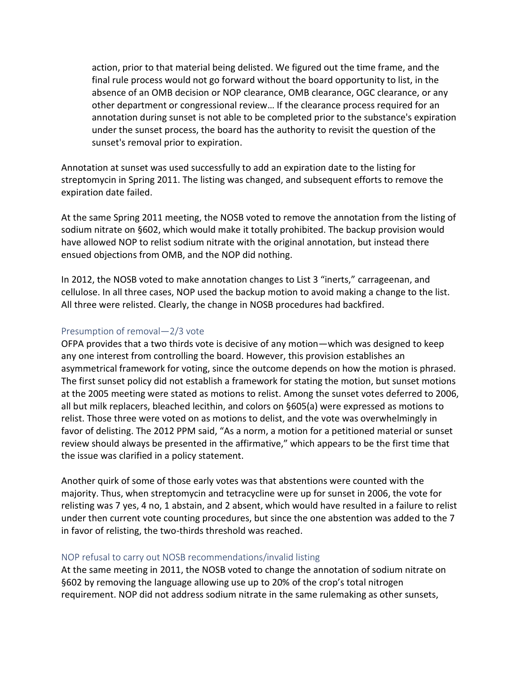action, prior to that material being delisted. We figured out the time frame, and the final rule process would not go forward without the board opportunity to list, in the absence of an OMB decision or NOP clearance, OMB clearance, OGC clearance, or any other department or congressional review… If the clearance process required for an annotation during sunset is not able to be completed prior to the substance's expiration under the sunset process, the board has the authority to revisit the question of the sunset's removal prior to expiration.

Annotation at sunset was used successfully to add an expiration date to the listing for streptomycin in Spring 2011. The listing was changed, and subsequent efforts to remove the expiration date failed.

At the same Spring 2011 meeting, the NOSB voted to remove the annotation from the listing of sodium nitrate on §602, which would make it totally prohibited. The backup provision would have allowed NOP to relist sodium nitrate with the original annotation, but instead there ensued objections from OMB, and the NOP did nothing.

In 2012, the NOSB voted to make annotation changes to List 3 "inerts," carrageenan, and cellulose. In all three cases, NOP used the backup motion to avoid making a change to the list. All three were relisted. Clearly, the change in NOSB procedures had backfired.

#### Presumption of removal—2/3 vote

OFPA provides that a two thirds vote is decisive of any motion—which was designed to keep any one interest from controlling the board. However, this provision establishes an asymmetrical framework for voting, since the outcome depends on how the motion is phrased. The first sunset policy did not establish a framework for stating the motion, but sunset motions at the 2005 meeting were stated as motions to relist. Among the sunset votes deferred to 2006, all but milk replacers, bleached lecithin, and colors on §605(a) were expressed as motions to relist. Those three were voted on as motions to delist, and the vote was overwhelmingly in favor of delisting. The 2012 PPM said, "As a norm, a motion for a petitioned material or sunset review should always be presented in the affirmative," which appears to be the first time that the issue was clarified in a policy statement.

Another quirk of some of those early votes was that abstentions were counted with the majority. Thus, when streptomycin and tetracycline were up for sunset in 2006, the vote for relisting was 7 yes, 4 no, 1 abstain, and 2 absent, which would have resulted in a failure to relist under then current vote counting procedures, but since the one abstention was added to the 7 in favor of relisting, the two-thirds threshold was reached.

### NOP refusal to carry out NOSB recommendations/invalid listing

At the same meeting in 2011, the NOSB voted to change the annotation of sodium nitrate on §602 by removing the language allowing use up to 20% of the crop's total nitrogen requirement. NOP did not address sodium nitrate in the same rulemaking as other sunsets,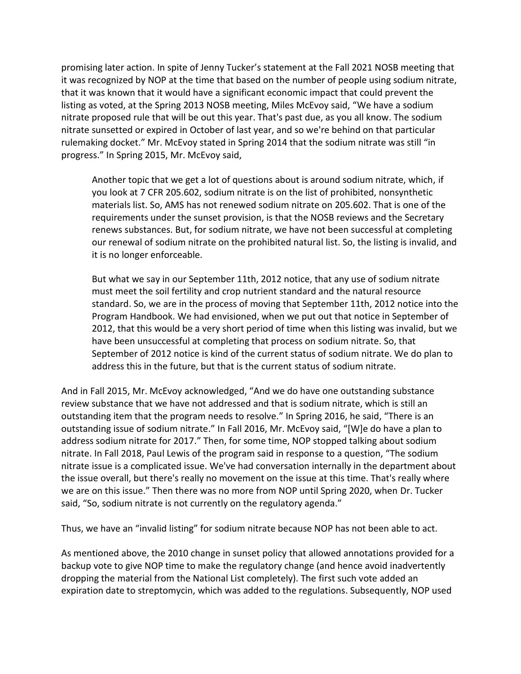promising later action. In spite of Jenny Tucker's statement at the Fall 2021 NOSB meeting that it was recognized by NOP at the time that based on the number of people using sodium nitrate, that it was known that it would have a significant economic impact that could prevent the listing as voted, at the Spring 2013 NOSB meeting, Miles McEvoy said, "We have a sodium nitrate proposed rule that will be out this year. That's past due, as you all know. The sodium nitrate sunsetted or expired in October of last year, and so we're behind on that particular rulemaking docket." Mr. McEvoy stated in Spring 2014 that the sodium nitrate was still "in progress." In Spring 2015, Mr. McEvoy said,

Another topic that we get a lot of questions about is around sodium nitrate, which, if you look at 7 CFR 205.602, sodium nitrate is on the list of prohibited, nonsynthetic materials list. So, AMS has not renewed sodium nitrate on 205.602. That is one of the requirements under the sunset provision, is that the NOSB reviews and the Secretary renews substances. But, for sodium nitrate, we have not been successful at completing our renewal of sodium nitrate on the prohibited natural list. So, the listing is invalid, and it is no longer enforceable.

But what we say in our September 11th, 2012 notice, that any use of sodium nitrate must meet the soil fertility and crop nutrient standard and the natural resource standard. So, we are in the process of moving that September 11th, 2012 notice into the Program Handbook. We had envisioned, when we put out that notice in September of 2012, that this would be a very short period of time when this listing was invalid, but we have been unsuccessful at completing that process on sodium nitrate. So, that September of 2012 notice is kind of the current status of sodium nitrate. We do plan to address this in the future, but that is the current status of sodium nitrate.

And in Fall 2015, Mr. McEvoy acknowledged, "And we do have one outstanding substance review substance that we have not addressed and that is sodium nitrate, which is still an outstanding item that the program needs to resolve." In Spring 2016, he said, "There is an outstanding issue of sodium nitrate." In Fall 2016, Mr. McEvoy said, "[W]e do have a plan to address sodium nitrate for 2017." Then, for some time, NOP stopped talking about sodium nitrate. In Fall 2018, Paul Lewis of the program said in response to a question, "The sodium nitrate issue is a complicated issue. We've had conversation internally in the department about the issue overall, but there's really no movement on the issue at this time. That's really where we are on this issue." Then there was no more from NOP until Spring 2020, when Dr. Tucker said, "So, sodium nitrate is not currently on the regulatory agenda."

Thus, we have an "invalid listing" for sodium nitrate because NOP has not been able to act.

As mentioned above, the 2010 change in sunset policy that allowed annotations provided for a backup vote to give NOP time to make the regulatory change (and hence avoid inadvertently dropping the material from the National List completely). The first such vote added an expiration date to streptomycin, which was added to the regulations. Subsequently, NOP used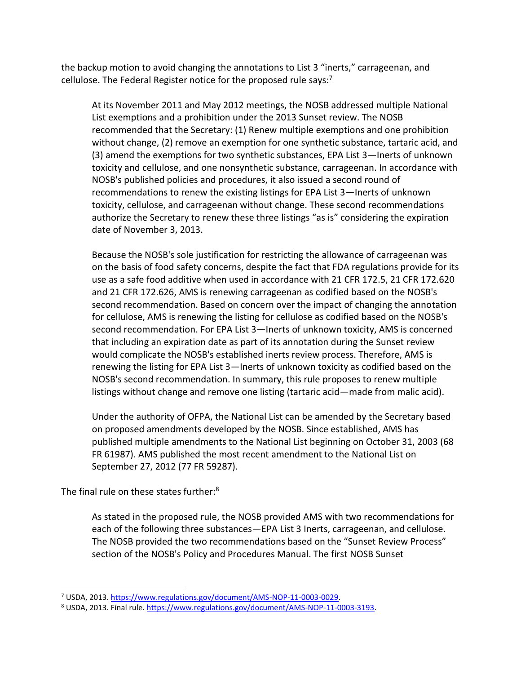the backup motion to avoid changing the annotations to List 3 "inerts," carrageenan, and cellulose. The Federal Register notice for the proposed rule says:<sup>7</sup>

At its November 2011 and May 2012 meetings, the NOSB addressed multiple National List exemptions and a prohibition under the 2013 Sunset review. The NOSB recommended that the Secretary: (1) Renew multiple exemptions and one prohibition without change, (2) remove an exemption for one synthetic substance, tartaric acid, and (3) amend the exemptions for two synthetic substances, EPA List 3—Inerts of unknown toxicity and cellulose, and one nonsynthetic substance, carrageenan. In accordance with NOSB's published policies and procedures, it also issued a second round of recommendations to renew the existing listings for EPA List 3—Inerts of unknown toxicity, cellulose, and carrageenan without change. These second recommendations authorize the Secretary to renew these three listings "as is" considering the expiration date of November 3, 2013.

Because the NOSB's sole justification for restricting the allowance of carrageenan was on the basis of food safety concerns, despite the fact that FDA regulations provide for its use as a safe food additive when used in accordance with 21 CFR 172.5, 21 CFR 172.620 and 21 CFR 172.626, AMS is renewing carrageenan as codified based on the NOSB's second recommendation. Based on concern over the impact of changing the annotation for cellulose, AMS is renewing the listing for cellulose as codified based on the NOSB's second recommendation. For EPA List 3—Inerts of unknown toxicity, AMS is concerned that including an expiration date as part of its annotation during the Sunset review would complicate the NOSB's established inerts review process. Therefore, AMS is renewing the listing for EPA List 3—Inerts of unknown toxicity as codified based on the NOSB's second recommendation. In summary, this rule proposes to renew multiple listings without change and remove one listing (tartaric acid—made from malic acid).

Under the authority of OFPA, the National List can be amended by the Secretary based on proposed amendments developed by the NOSB. Since established, AMS has published multiple amendments to the National List beginning on October 31, 2003 (68 FR 61987). AMS published the most recent amendment to the National List on September 27, 2012 (77 FR 59287).

The final rule on these states further:<sup>8</sup>

As stated in the proposed rule, the NOSB provided AMS with two recommendations for each of the following three substances—EPA List 3 Inerts, carrageenan, and cellulose. The NOSB provided the two recommendations based on the "Sunset Review Process" section of the NOSB's Policy and Procedures Manual. The first NOSB Sunset

<sup>7</sup> USDA, 2013. [https://www.regulations.gov/document/AMS-NOP-11-0003-0029.](https://www.regulations.gov/document/AMS-NOP-11-0003-0029)

<sup>8</sup> USDA, 2013. Final rule[. https://www.regulations.gov/document/AMS-NOP-11-0003-3193.](https://www.regulations.gov/document/AMS-NOP-11-0003-3193)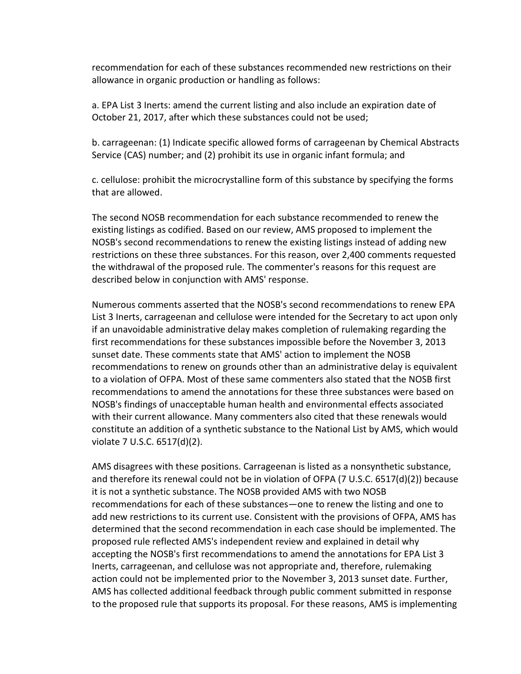recommendation for each of these substances recommended new restrictions on their allowance in organic production or handling as follows:

a. EPA List 3 Inerts: amend the current listing and also include an expiration date of October 21, 2017, after which these substances could not be used;

b. carrageenan: (1) Indicate specific allowed forms of carrageenan by Chemical Abstracts Service (CAS) number; and (2) prohibit its use in organic infant formula; and

c. cellulose: prohibit the microcrystalline form of this substance by specifying the forms that are allowed.

The second NOSB recommendation for each substance recommended to renew the existing listings as codified. Based on our review, AMS proposed to implement the NOSB's second recommendations to renew the existing listings instead of adding new restrictions on these three substances. For this reason, over 2,400 comments requested the withdrawal of the proposed rule. The commenter's reasons for this request are described below in conjunction with AMS' response.

Numerous comments asserted that the NOSB's second recommendations to renew EPA List 3 Inerts, carrageenan and cellulose were intended for the Secretary to act upon only if an unavoidable administrative delay makes completion of rulemaking regarding the first recommendations for these substances impossible before the November 3, 2013 sunset date. These comments state that AMS' action to implement the NOSB recommendations to renew on grounds other than an administrative delay is equivalent to a violation of OFPA. Most of these same commenters also stated that the NOSB first recommendations to amend the annotations for these three substances were based on NOSB's findings of unacceptable human health and environmental effects associated with their current allowance. Many commenters also cited that these renewals would constitute an addition of a synthetic substance to the National List by AMS, which would violate 7 U.S.C. 6517(d)(2).

AMS disagrees with these positions. Carrageenan is listed as a nonsynthetic substance, and therefore its renewal could not be in violation of OFPA (7 U.S.C. 6517(d)(2)) because it is not a synthetic substance. The NOSB provided AMS with two NOSB recommendations for each of these substances—one to renew the listing and one to add new restrictions to its current use. Consistent with the provisions of OFPA, AMS has determined that the second recommendation in each case should be implemented. The proposed rule reflected AMS's independent review and explained in detail why accepting the NOSB's first recommendations to amend the annotations for EPA List 3 Inerts, carrageenan, and cellulose was not appropriate and, therefore, rulemaking action could not be implemented prior to the November 3, 2013 sunset date. Further, AMS has collected additional feedback through public comment submitted in response to the proposed rule that supports its proposal. For these reasons, AMS is implementing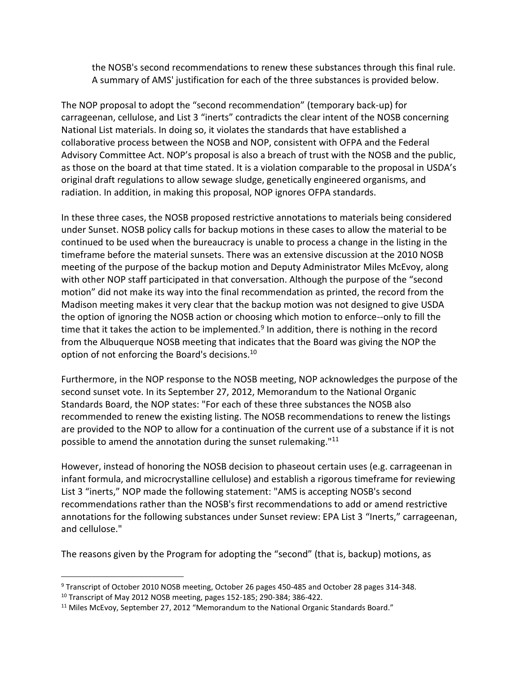the NOSB's second recommendations to renew these substances through this final rule. A summary of AMS' justification for each of the three substances is provided below.

The NOP proposal to adopt the "second recommendation" (temporary back-up) for carrageenan, cellulose, and List 3 "inerts" contradicts the clear intent of the NOSB concerning National List materials. In doing so, it violates the standards that have established a collaborative process between the NOSB and NOP, consistent with OFPA and the Federal Advisory Committee Act. NOP's proposal is also a breach of trust with the NOSB and the public, as those on the board at that time stated. It is a violation comparable to the proposal in USDA's original draft regulations to allow sewage sludge, genetically engineered organisms, and radiation. In addition, in making this proposal, NOP ignores OFPA standards.

In these three cases, the NOSB proposed restrictive annotations to materials being considered under Sunset. NOSB policy calls for backup motions in these cases to allow the material to be continued to be used when the bureaucracy is unable to process a change in the listing in the timeframe before the material sunsets. There was an extensive discussion at the 2010 NOSB meeting of the purpose of the backup motion and Deputy Administrator Miles McEvoy, along with other NOP staff participated in that conversation. Although the purpose of the "second motion" did not make its way into the final recommendation as printed, the record from the Madison meeting makes it very clear that the backup motion was not designed to give USDA the option of ignoring the NOSB action or choosing which motion to enforce--only to fill the time that it takes the action to be implemented.<sup>9</sup> In addition, there is nothing in the record from the Albuquerque NOSB meeting that indicates that the Board was giving the NOP the option of not enforcing the Board's decisions.<sup>10</sup>

Furthermore, in the NOP response to the NOSB meeting, NOP acknowledges the purpose of the second sunset vote. In its September 27, 2012, Memorandum to the National Organic Standards Board, the NOP states: "For each of these three substances the NOSB also recommended to renew the existing listing. The NOSB recommendations to renew the listings are provided to the NOP to allow for a continuation of the current use of a substance if it is not possible to amend the annotation during the sunset rulemaking."<sup>11</sup>

However, instead of honoring the NOSB decision to phaseout certain uses (e.g. carrageenan in infant formula, and microcrystalline cellulose) and establish a rigorous timeframe for reviewing List 3 "inerts," NOP made the following statement: "AMS is accepting NOSB's second recommendations rather than the NOSB's first recommendations to add or amend restrictive annotations for the following substances under Sunset review: EPA List 3 "Inerts," carrageenan, and cellulose."

The reasons given by the Program for adopting the "second" (that is, backup) motions, as

<sup>9</sup> Transcript of October 2010 NOSB meeting, October 26 pages 450-485 and October 28 pages 314-348.

 $10$  Transcript of May 2012 NOSB meeting, pages 152-185; 290-384; 386-422.

<sup>&</sup>lt;sup>11</sup> Miles McEvoy, September 27, 2012 "Memorandum to the National Organic Standards Board."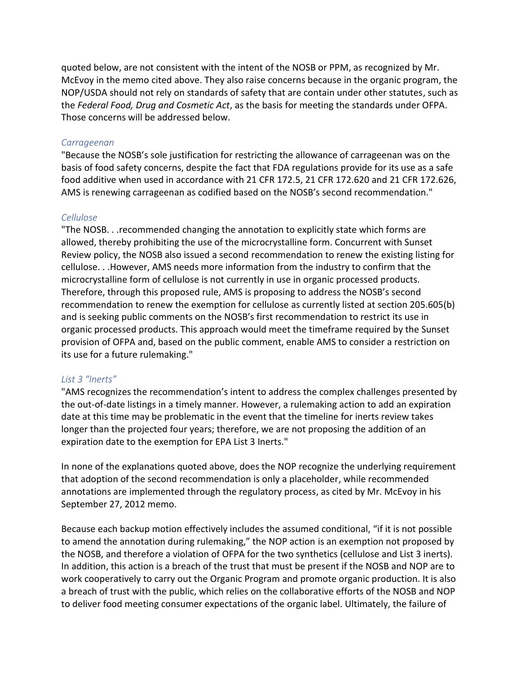quoted below, are not consistent with the intent of the NOSB or PPM, as recognized by Mr. McEvoy in the memo cited above. They also raise concerns because in the organic program, the NOP/USDA should not rely on standards of safety that are contain under other statutes, such as the *Federal Food, Drug and Cosmetic Act*, as the basis for meeting the standards under OFPA. Those concerns will be addressed below.

#### *Carrageenan*

"Because the NOSB's sole justification for restricting the allowance of carrageenan was on the basis of food safety concerns, despite the fact that FDA regulations provide for its use as a safe food additive when used in accordance with 21 CFR 172.5, 21 CFR 172.620 and 21 CFR 172.626, AMS is renewing carrageenan as codified based on the NOSB's second recommendation."

#### *Cellulose*

"The NOSB. . .recommended changing the annotation to explicitly state which forms are allowed, thereby prohibiting the use of the microcrystalline form. Concurrent with Sunset Review policy, the NOSB also issued a second recommendation to renew the existing listing for cellulose. . .However, AMS needs more information from the industry to confirm that the microcrystalline form of cellulose is not currently in use in organic processed products. Therefore, through this proposed rule, AMS is proposing to address the NOSB's second recommendation to renew the exemption for cellulose as currently listed at section 205.605(b) and is seeking public comments on the NOSB's first recommendation to restrict its use in organic processed products. This approach would meet the timeframe required by the Sunset provision of OFPA and, based on the public comment, enable AMS to consider a restriction on its use for a future rulemaking."

#### *List 3 "Inerts"*

"AMS recognizes the recommendation's intent to address the complex challenges presented by the out-of-date listings in a timely manner. However, a rulemaking action to add an expiration date at this time may be problematic in the event that the timeline for inerts review takes longer than the projected four years; therefore, we are not proposing the addition of an expiration date to the exemption for EPA List 3 Inerts."

In none of the explanations quoted above, does the NOP recognize the underlying requirement that adoption of the second recommendation is only a placeholder, while recommended annotations are implemented through the regulatory process, as cited by Mr. McEvoy in his September 27, 2012 memo.

Because each backup motion effectively includes the assumed conditional, "if it is not possible to amend the annotation during rulemaking," the NOP action is an exemption not proposed by the NOSB, and therefore a violation of OFPA for the two synthetics (cellulose and List 3 inerts). In addition, this action is a breach of the trust that must be present if the NOSB and NOP are to work cooperatively to carry out the Organic Program and promote organic production. It is also a breach of trust with the public, which relies on the collaborative efforts of the NOSB and NOP to deliver food meeting consumer expectations of the organic label. Ultimately, the failure of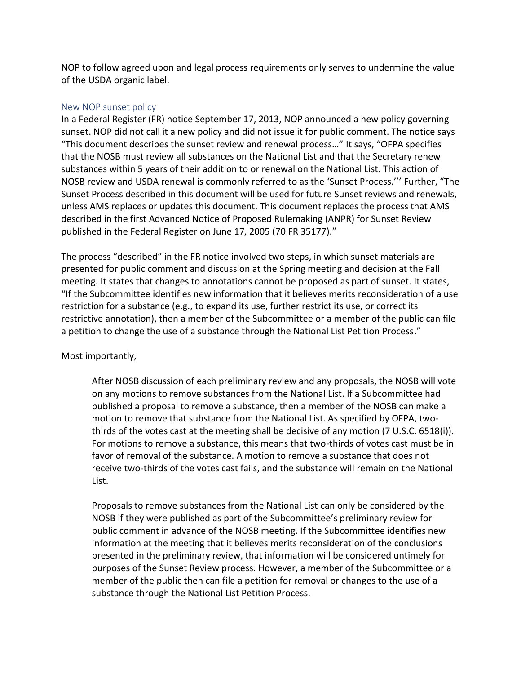NOP to follow agreed upon and legal process requirements only serves to undermine the value of the USDA organic label.

#### New NOP sunset policy

In a Federal Register (FR) notice September 17, 2013, NOP announced a new policy governing sunset. NOP did not call it a new policy and did not issue it for public comment. The notice says "This document describes the sunset review and renewal process…" It says, "OFPA specifies that the NOSB must review all substances on the National List and that the Secretary renew substances within 5 years of their addition to or renewal on the National List. This action of NOSB review and USDA renewal is commonly referred to as the 'Sunset Process.''' Further, "The Sunset Process described in this document will be used for future Sunset reviews and renewals, unless AMS replaces or updates this document. This document replaces the process that AMS described in the first Advanced Notice of Proposed Rulemaking (ANPR) for Sunset Review published in the Federal Register on June 17, 2005 (70 FR 35177)."

The process "described" in the FR notice involved two steps, in which sunset materials are presented for public comment and discussion at the Spring meeting and decision at the Fall meeting. It states that changes to annotations cannot be proposed as part of sunset. It states, "If the Subcommittee identifies new information that it believes merits reconsideration of a use restriction for a substance (e.g., to expand its use, further restrict its use, or correct its restrictive annotation), then a member of the Subcommittee or a member of the public can file a petition to change the use of a substance through the National List Petition Process."

### Most importantly,

After NOSB discussion of each preliminary review and any proposals, the NOSB will vote on any motions to remove substances from the National List. If a Subcommittee had published a proposal to remove a substance, then a member of the NOSB can make a motion to remove that substance from the National List. As specified by OFPA, twothirds of the votes cast at the meeting shall be decisive of any motion (7 U.S.C. 6518(i)). For motions to remove a substance, this means that two-thirds of votes cast must be in favor of removal of the substance. A motion to remove a substance that does not receive two-thirds of the votes cast fails, and the substance will remain on the National List.

Proposals to remove substances from the National List can only be considered by the NOSB if they were published as part of the Subcommittee's preliminary review for public comment in advance of the NOSB meeting. If the Subcommittee identifies new information at the meeting that it believes merits reconsideration of the conclusions presented in the preliminary review, that information will be considered untimely for purposes of the Sunset Review process. However, a member of the Subcommittee or a member of the public then can file a petition for removal or changes to the use of a substance through the National List Petition Process.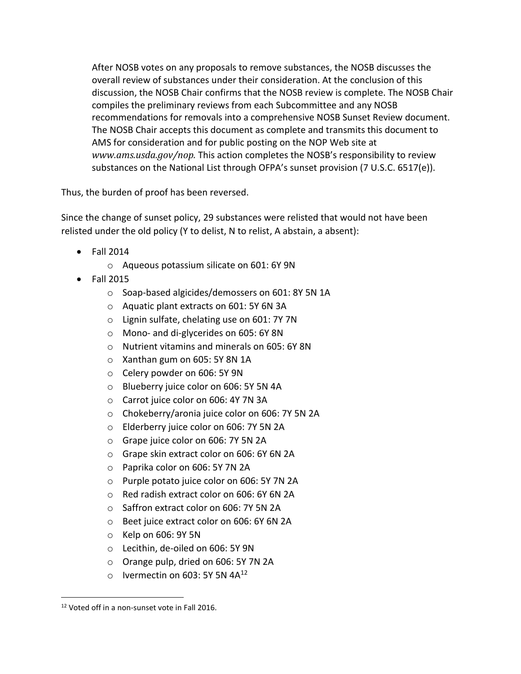After NOSB votes on any proposals to remove substances, the NOSB discusses the overall review of substances under their consideration. At the conclusion of this discussion, the NOSB Chair confirms that the NOSB review is complete. The NOSB Chair compiles the preliminary reviews from each Subcommittee and any NOSB recommendations for removals into a comprehensive NOSB Sunset Review document. The NOSB Chair accepts this document as complete and transmits this document to AMS for consideration and for public posting on the NOP Web site at *www.ams.usda.gov/nop.* This action completes the NOSB's responsibility to review substances on the National List through OFPA's sunset provision (7 U.S.C. 6517(e)).

Thus, the burden of proof has been reversed.

Since the change of sunset policy, 29 substances were relisted that would not have been relisted under the old policy (Y to delist, N to relist, A abstain, a absent):

- Fall 2014
	- o Aqueous potassium silicate on 601: 6Y 9N
- Fall 2015
	- o Soap-based algicides/demossers on 601: 8Y 5N 1A
	- o Aquatic plant extracts on 601: 5Y 6N 3A
	- o Lignin sulfate, chelating use on 601: 7Y 7N
	- o Mono- and di-glycerides on 605: 6Y 8N
	- o Nutrient vitamins and minerals on 605: 6Y 8N
	- o Xanthan gum on 605: 5Y 8N 1A
	- o Celery powder on 606: 5Y 9N
	- o Blueberry juice color on 606: 5Y 5N 4A
	- o Carrot juice color on 606: 4Y 7N 3A
	- o Chokeberry/aronia juice color on 606: 7Y 5N 2A
	- o Elderberry juice color on 606: 7Y 5N 2A
	- o Grape juice color on 606: 7Y 5N 2A
	- o Grape skin extract color on 606: 6Y 6N 2A
	- o Paprika color on 606: 5Y 7N 2A
	- o Purple potato juice color on 606: 5Y 7N 2A
	- o Red radish extract color on 606: 6Y 6N 2A
	- o Saffron extract color on 606: 7Y 5N 2A
	- o Beet juice extract color on 606: 6Y 6N 2A
	- $\circ$  Kelp on 606: 9Y 5N
	- o Lecithin, de-oiled on 606: 5Y 9N
	- o Orange pulp, dried on 606: 5Y 7N 2A
	- $\circ$  Ivermectin on 603: 5Y 5N 4A<sup>12</sup>

<sup>12</sup> Voted off in a non-sunset vote in Fall 2016.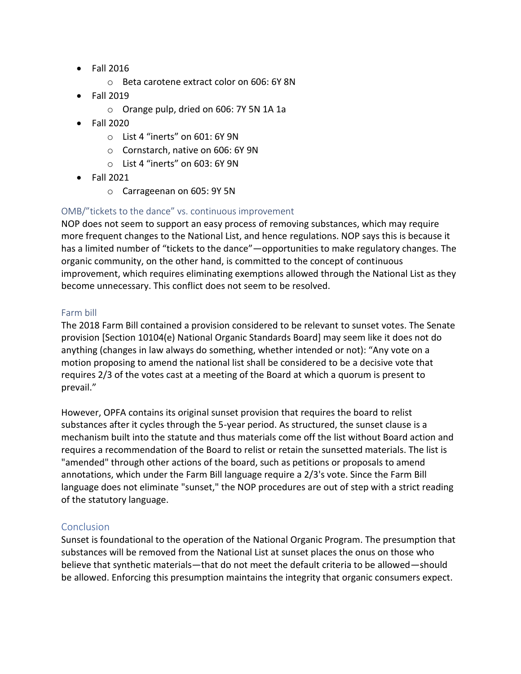- Fall 2016
	- o Beta carotene extract color on 606: 6Y 8N
- Fall 2019
	- o Orange pulp, dried on 606: 7Y 5N 1A 1a
- Fall 2020
	- o List 4 "inerts" on 601: 6Y 9N
	- o Cornstarch, native on 606: 6Y 9N
	- o List 4 "inerts" on 603: 6Y 9N
- Fall 2021
	- o Carrageenan on 605: 9Y 5N

### OMB/"tickets to the dance" vs. continuous improvement

NOP does not seem to support an easy process of removing substances, which may require more frequent changes to the National List, and hence regulations. NOP says this is because it has a limited number of "tickets to the dance"—opportunities to make regulatory changes. The organic community, on the other hand, is committed to the concept of continuous improvement, which requires eliminating exemptions allowed through the National List as they become unnecessary. This conflict does not seem to be resolved.

#### Farm bill

The 2018 Farm Bill contained a provision considered to be relevant to sunset votes. The Senate provision [Section 10104(e) National Organic Standards Board] may seem like it does not do anything (changes in law always do something, whether intended or not): "Any vote on a motion proposing to amend the national list shall be considered to be a decisive vote that requires 2/3 of the votes cast at a meeting of the Board at which a quorum is present to prevail."

However, OPFA contains its original sunset provision that requires the board to relist substances after it cycles through the 5-year period. As structured, the sunset clause is a mechanism built into the statute and thus materials come off the list without Board action and requires a recommendation of the Board to relist or retain the sunsetted materials. The list is "amended" through other actions of the board, such as petitions or proposals to amend annotations, which under the Farm Bill language require a 2/3's vote. Since the Farm Bill language does not eliminate "sunset," the NOP procedures are out of step with a strict reading of the statutory language.

### **Conclusion**

Sunset is foundational to the operation of the National Organic Program. The presumption that substances will be removed from the National List at sunset places the onus on those who believe that synthetic materials—that do not meet the default criteria to be allowed—should be allowed. Enforcing this presumption maintains the integrity that organic consumers expect.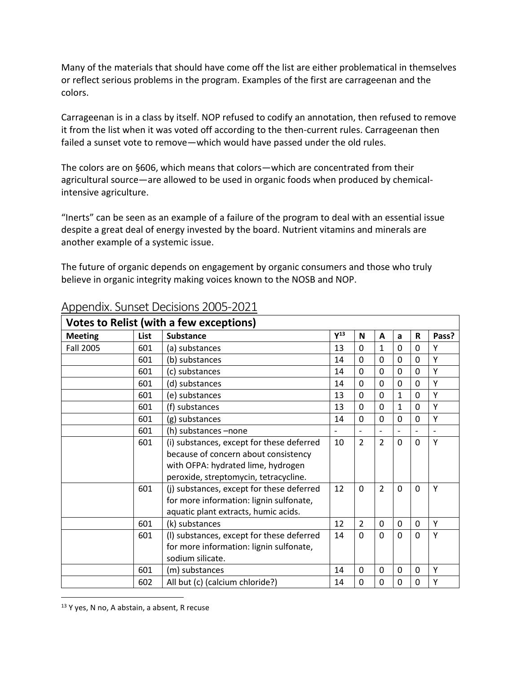Many of the materials that should have come off the list are either problematical in themselves or reflect serious problems in the program. Examples of the first are carrageenan and the colors.

Carrageenan is in a class by itself. NOP refused to codify an annotation, then refused to remove it from the list when it was voted off according to the then-current rules. Carrageenan then failed a sunset vote to remove—which would have passed under the old rules.

The colors are on §606, which means that colors—which are concentrated from their agricultural source—are allowed to be used in organic foods when produced by chemicalintensive agriculture.

"Inerts" can be seen as an example of a failure of the program to deal with an essential issue despite a great deal of energy invested by the board. Nutrient vitamins and minerals are another example of a systemic issue.

The future of organic depends on engagement by organic consumers and those who truly believe in organic integrity making voices known to the NOSB and NOP.

|                  |      | <b>Votes to Relist (with a few exceptions)</b> |          |                          |                          |              |              |       |
|------------------|------|------------------------------------------------|----------|--------------------------|--------------------------|--------------|--------------|-------|
| <b>Meeting</b>   | List | <b>Substance</b>                               | $Y^{13}$ | N                        | $\mathbf{A}$             | a            | R            | Pass? |
| <b>Fall 2005</b> | 601  | (a) substances                                 | 13       | 0                        | $\mathbf{1}$             | 0            | $\Omega$     | Υ     |
|                  | 601  | (b) substances                                 | 14       | $\overline{0}$           | $\Omega$                 | $\mathbf 0$  | $\Omega$     | Υ     |
|                  | 601  | (c) substances                                 | 14       | $\mathbf 0$              | 0                        | 0            | $\mathbf{0}$ | Υ     |
|                  | 601  | (d) substances                                 | 14       | $\mathbf 0$              | 0                        | $\Omega$     | $\Omega$     | Y     |
|                  | 601  | (e) substances                                 | 13       | $\overline{0}$           | 0                        | $\mathbf{1}$ | 0            | Y     |
|                  | 601  | (f) substances                                 | 13       | $\mathbf 0$              | 0                        | $\mathbf{1}$ | $\Omega$     | Y     |
|                  | 601  | (g) substances                                 | 14       | $\Omega$                 | 0                        | $\Omega$     | $\Omega$     | Υ     |
|                  | 601  | (h) substances -none                           |          | $\overline{\phantom{0}}$ | $\overline{\phantom{0}}$ |              |              |       |
|                  | 601  | (i) substances, except for these deferred      | 10       | $\overline{2}$           | $\overline{2}$           | 0            | $\Omega$     | Υ     |
|                  |      | because of concern about consistency           |          |                          |                          |              |              |       |
|                  |      | with OFPA: hydrated lime, hydrogen             |          |                          |                          |              |              |       |
|                  |      | peroxide, streptomycin, tetracycline.          |          |                          |                          |              |              |       |
|                  | 601  | (j) substances, except for these deferred      | 12       | 0                        | $\overline{2}$           | 0            | $\mathbf{0}$ | Υ     |
|                  |      | for more information: lignin sulfonate,        |          |                          |                          |              |              |       |
|                  |      | aquatic plant extracts, humic acids.           |          |                          |                          |              |              |       |
|                  | 601  | (k) substances                                 | 12       | $\overline{2}$           | 0                        | 0            | $\mathbf{0}$ | Υ     |
|                  | 601  | (I) substances, except for these deferred      | 14       | $\mathbf 0$              | 0                        | $\Omega$     | $\Omega$     | Υ     |
|                  |      | for more information: lignin sulfonate,        |          |                          |                          |              |              |       |
|                  |      | sodium silicate.                               |          |                          |                          |              |              |       |
|                  | 601  | (m) substances                                 | 14       | $\mathbf 0$              | 0                        | 0            | $\mathbf 0$  | Υ     |
|                  | 602  | All but (c) (calcium chloride?)                | 14       | $\mathbf 0$              | 0                        | 0            | $\Omega$     | Υ     |

## Appendix. Sunset Decisions 2005-2021

<sup>&</sup>lt;sup>13</sup> Y yes, N no, A abstain, a absent, R recuse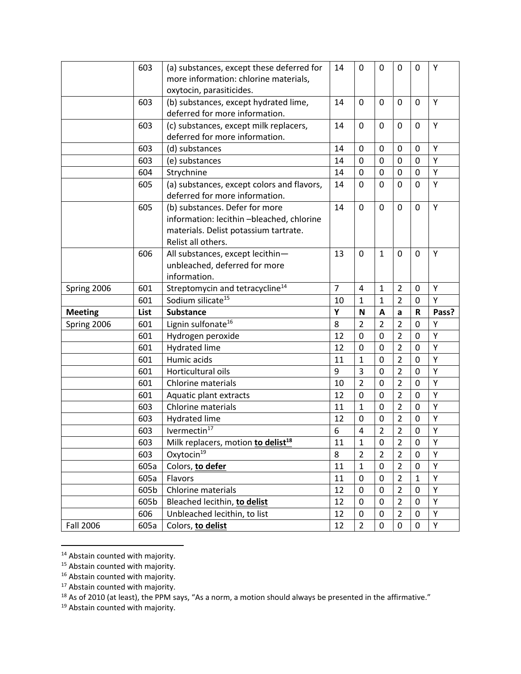|                | 603  | (a) substances, except these deferred for      | 14             | 0                       | 0              | 0              | 0            | Υ     |
|----------------|------|------------------------------------------------|----------------|-------------------------|----------------|----------------|--------------|-------|
|                |      | more information: chlorine materials,          |                |                         |                |                |              |       |
|                |      | oxytocin, parasiticides.                       |                |                         |                |                |              |       |
|                | 603  | (b) substances, except hydrated lime,          | 14             | 0                       | $\mathbf 0$    | 0              | 0            | Υ     |
|                |      | deferred for more information.                 |                |                         |                |                |              |       |
|                | 603  | (c) substances, except milk replacers,         | 14             | 0                       | $\mathbf 0$    | 0              | $\mathbf{0}$ | Υ     |
|                |      | deferred for more information.                 |                |                         |                |                |              |       |
|                | 603  | (d) substances                                 | 14             | 0                       | $\mathbf 0$    | $\mathbf 0$    | 0            | Y     |
|                | 603  | (e) substances                                 | 14             | $\mathbf 0$             | $\mathbf 0$    | 0              | $\mathbf 0$  | Υ     |
|                | 604  | Strychnine                                     | 14             | $\pmb{0}$               | $\mathbf 0$    | $\mathbf 0$    | 0            | Υ     |
|                | 605  | (a) substances, except colors and flavors,     | 14             | 0                       | $\mathbf 0$    | $\mathbf 0$    | 0            | Υ     |
|                |      | deferred for more information.                 |                |                         |                |                |              |       |
|                | 605  | (b) substances. Defer for more                 | 14             | 0                       | $\mathbf 0$    | 0              | 0            | Y     |
|                |      | information: lecithin-bleached, chlorine       |                |                         |                |                |              |       |
|                |      | materials. Delist potassium tartrate.          |                |                         |                |                |              |       |
|                |      | Relist all others.                             |                |                         |                |                |              |       |
|                | 606  | All substances, except lecithin-               | 13             | 0                       | $\mathbf{1}$   | 0              | $\mathbf{0}$ | Y     |
|                |      | unbleached, deferred for more                  |                |                         |                |                |              |       |
|                |      | information.                                   |                |                         |                |                |              |       |
|                | 601  | Streptomycin and tetracycline <sup>14</sup>    | $\overline{7}$ | 4                       | $\mathbf{1}$   | $\overline{2}$ | 0            | Υ     |
| Spring 2006    |      |                                                |                |                         |                |                |              |       |
|                | 601  | Sodium silicate <sup>15</sup>                  | 10             | $\mathbf{1}$            | 1              | $\overline{2}$ | 0            | Y     |
| <b>Meeting</b> | List | <b>Substance</b>                               | Y              | N                       | A              | a              | ${\sf R}$    | Pass? |
| Spring 2006    | 601  | Lignin sulfonate <sup>16</sup>                 | 8              | $\overline{2}$          | $\overline{2}$ | $\overline{2}$ | $\mathbf 0$  | Υ     |
|                | 601  | Hydrogen peroxide                              | 12             | $\mathbf 0$             | $\mathbf 0$    | $\overline{2}$ | 0            | Y     |
|                | 601  | <b>Hydrated lime</b>                           | 12             | 0                       | $\mathbf 0$    | $\overline{2}$ | 0            | Υ     |
|                | 601  | Humic acids                                    | 11             | $\mathbf 1$             | $\mathbf 0$    | $\overline{2}$ | 0            | Υ     |
|                | 601  | Horticultural oils                             | 9              | 3                       | $\mathbf 0$    | $\overline{2}$ | $\mathbf{0}$ | Y     |
|                | 601  | <b>Chlorine materials</b>                      | 10             | $\overline{2}$          | $\mathbf 0$    | $\overline{2}$ | 0            | Υ     |
|                | 601  | Aquatic plant extracts                         | 12             | 0                       | $\mathbf 0$    | $\overline{2}$ | 0            | Υ     |
|                | 603  | Chlorine materials                             | 11             | $\mathbf{1}$            | $\mathbf 0$    | $\overline{2}$ | 0            | Υ     |
|                | 603  | <b>Hydrated lime</b>                           | 12             | 0                       | $\mathbf 0$    | $\overline{2}$ | $\mathbf 0$  | Υ     |
|                | 603  | Ivermectin <sup>17</sup>                       | 6              | $\overline{\mathbf{4}}$ | $\overline{2}$ | $\overline{2}$ | $\pmb{0}$    | Υ     |
|                | 603  | Milk replacers, motion to delist <sup>18</sup> | 11             | $\overline{1}$          | $\pmb{0}$      | $\overline{2}$ | $\pmb{0}$    | Υ     |
|                | 603  | Oxytocin <sup>19</sup>                         | 8              | $\overline{2}$          | $\overline{2}$ | 2              | $\mathbf{0}$ | Υ     |
|                | 605a | Colors, to defer                               | 11             | $\mathbf{1}$            | $\mathbf 0$    | $\overline{2}$ | $\mathbf 0$  | Υ     |
|                | 605a | Flavors                                        | 11             | $\overline{0}$          | $\mathbf 0$    | $\overline{2}$ | $\mathbf{1}$ | Υ     |
|                | 605b | Chlorine materials                             | 12             | 0                       | 0              | $\overline{2}$ | 0            | Υ     |
|                | 605b | Bleached lecithin, to delist                   | 12             | 0                       | $\mathbf 0$    | $\overline{2}$ | $\mathbf 0$  | Υ     |
|                | 606  | Unbleached lecithin, to list                   | 12             | 0                       | $\pmb{0}$      | $\overline{2}$ | $\mathbf 0$  | Υ     |

<sup>&</sup>lt;sup>14</sup> Abstain counted with majority.

<sup>&</sup>lt;sup>15</sup> Abstain counted with majority.

<sup>&</sup>lt;sup>16</sup> Abstain counted with majority.

<sup>&</sup>lt;sup>17</sup> Abstain counted with majority.

 $^{18}$  As of 2010 (at least), the PPM says, "As a norm, a motion should always be presented in the affirmative."

<sup>&</sup>lt;sup>19</sup> Abstain counted with majority.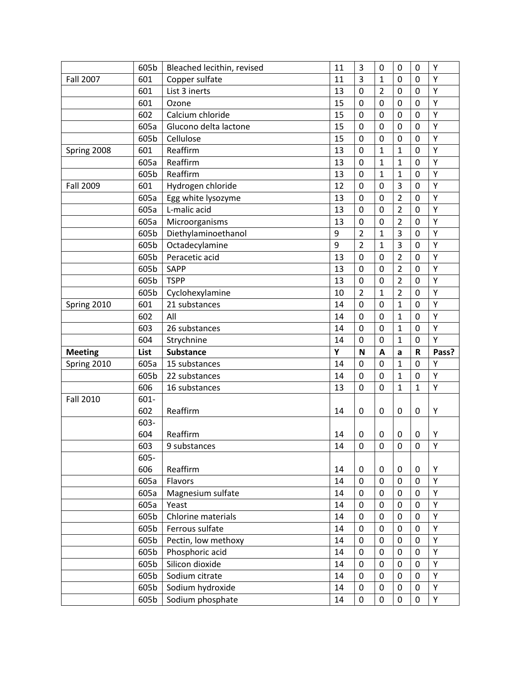|                  | 605b | Bleached lecithin, revised | 11 | 3              | $\mathbf 0$    | $\mathbf 0$    | $\mathbf 0$ | Υ     |
|------------------|------|----------------------------|----|----------------|----------------|----------------|-------------|-------|
| <b>Fall 2007</b> | 601  | Copper sulfate             | 11 | 3              | $\mathbf{1}$   | 0              | $\mathbf 0$ | Υ     |
|                  | 601  | List 3 inerts              | 13 | $\mathbf 0$    | $\overline{2}$ | 0              | 0           | Υ     |
|                  | 601  | Ozone                      | 15 | $\mathbf 0$    | 0              | 0              | 0           | Υ     |
|                  | 602  | Calcium chloride           | 15 | $\mathbf 0$    | $\mathbf 0$    | $\mathbf 0$    | 0           | Υ     |
|                  | 605a | Glucono delta lactone      | 15 | $\mathbf 0$    | $\mathbf 0$    | 0              | $\mathbf 0$ | Υ     |
|                  | 605b | Cellulose                  | 15 | 0              | $\mathbf 0$    | 0              | 0           | Υ     |
| Spring 2008      | 601  | Reaffirm                   | 13 | $\mathbf 0$    | $\mathbf{1}$   | $\mathbf 1$    | $\mathbf 0$ | Υ     |
|                  | 605a | Reaffirm                   | 13 | $\mathbf 0$    | $\mathbf 1$    | $\mathbf{1}$   | 0           | Υ     |
|                  | 605b | Reaffirm                   | 13 | 0              | 1              | 1              | 0           | Υ     |
| <b>Fall 2009</b> | 601  | Hydrogen chloride          | 12 | $\mathbf 0$    | $\mathbf 0$    | 3              | $\mathbf 0$ | Υ     |
|                  | 605a | Egg white lysozyme         | 13 | $\mathbf 0$    | $\mathbf 0$    | $\overline{2}$ | $\mathbf 0$ | Υ     |
|                  | 605a | L-malic acid               | 13 | $\mathbf 0$    | 0              | $\overline{2}$ | 0           | Υ     |
|                  | 605a | Microorganisms             | 13 | $\mathbf 0$    | $\mathbf 0$    | $\overline{2}$ | $\mathbf 0$ | Υ     |
|                  | 605b | Diethylaminoethanol        | 9  | $\overline{2}$ | $\mathbf{1}$   | 3              | 0           | Υ     |
|                  | 605b | Octadecylamine             | 9  | $\overline{2}$ | 1              | 3              | $\mathbf 0$ | Υ     |
|                  | 605b | Peracetic acid             | 13 | $\mathbf 0$    | 0              | $\overline{2}$ | 0           | Υ     |
|                  | 605b | <b>SAPP</b>                | 13 | $\mathbf 0$    | $\mathbf 0$    | $\overline{2}$ | $\mathbf 0$ | Υ     |
|                  | 605b | <b>TSPP</b>                | 13 | $\mathbf 0$    | $\mathbf 0$    | $\overline{2}$ | 0           | Υ     |
|                  | 605b | Cyclohexylamine            | 10 | $\overline{2}$ | $\mathbf{1}$   | $\overline{2}$ | 0           | Υ     |
| Spring 2010      | 601  | 21 substances              | 14 | 0              | $\mathbf 0$    | $\mathbf{1}$   | $\mathbf 0$ | Υ     |
|                  | 602  | All                        | 14 | $\mathbf 0$    | $\mathbf 0$    | $\mathbf{1}$   | $\mathbf 0$ | Υ     |
|                  | 603  | 26 substances              | 14 | $\mathbf 0$    | 0              | $\mathbf{1}$   | 0           | Υ     |
|                  |      |                            |    |                |                |                |             |       |
|                  | 604  | Strychnine                 | 14 | $\mathbf 0$    | 0              | $\mathbf{1}$   | 0           | Υ     |
| <b>Meeting</b>   | List | <b>Substance</b>           | Y  | $\mathbf N$    | A              | a              | ${\sf R}$   | Pass? |
| Spring 2010      | 605a | 15 substances              | 14 | $\mathbf 0$    | $\mathbf 0$    | $\mathbf{1}$   | 0           | Υ     |
|                  | 605b | 22 substances              | 14 | $\mathbf 0$    | $\mathbf 0$    | 1              | $\mathbf 0$ | Υ     |
|                  | 606  | 16 substances              | 13 | $\mathbf 0$    | $\mathbf 0$    | $\mathbf{1}$   | 1           | Υ     |
| <b>Fall 2010</b> | 601- |                            |    |                |                |                |             |       |
|                  | 602  | Reaffirm                   | 14 | $\mathbf 0$    | 0              | 0              | 0           | Υ     |
|                  | 603- |                            |    |                |                |                |             |       |
|                  | 604  | Reaffirm                   | 14 | 0              | 0              | 0              | 0           | Υ     |
|                  | 603  | 9 substances               | 14 | $\pmb{0}$      | $\pmb{0}$      | $\mathbf 0$    | 0           | Y     |
|                  | 605- |                            |    |                |                |                |             |       |
|                  | 606  | Reaffirm                   | 14 | 0              | 0              | 0              | 0           | Υ     |
|                  | 605a | Flavors                    | 14 | 0              | $\mathbf 0$    | 0              | $\mathbf 0$ | Υ     |
|                  | 605a | Magnesium sulfate          | 14 | 0              | $\mathbf 0$    | 0              | 0           | Υ     |
|                  | 605a | Yeast                      | 14 | 0              | 0              | 0              | 0           | Υ     |
|                  | 605b | Chlorine materials         | 14 | 0              | $\pmb{0}$      | 0              | $\mathbf 0$ | Υ     |
|                  | 605b | Ferrous sulfate            | 14 | $\mathbf 0$    | $\mathbf 0$    | 0              | $\mathbf 0$ | Υ     |
|                  | 605b | Pectin, low methoxy        | 14 | 0              | 0              | 0              | 0           | Υ     |
|                  | 605b | Phosphoric acid            | 14 | $\mathbf 0$    | $\pmb{0}$      | 0              | $\mathbf 0$ | Υ     |
|                  | 605b | Silicon dioxide            | 14 | $\mathbf 0$    | $\pmb{0}$      | 0              | $\mathbf 0$ | Υ     |
|                  | 605b | Sodium citrate             | 14 | 0              | $\mathbf 0$    | 0              | $\mathbf 0$ | Υ     |
|                  | 605b | Sodium hydroxide           | 14 | 0              | 0              | 0              | 0           | Υ     |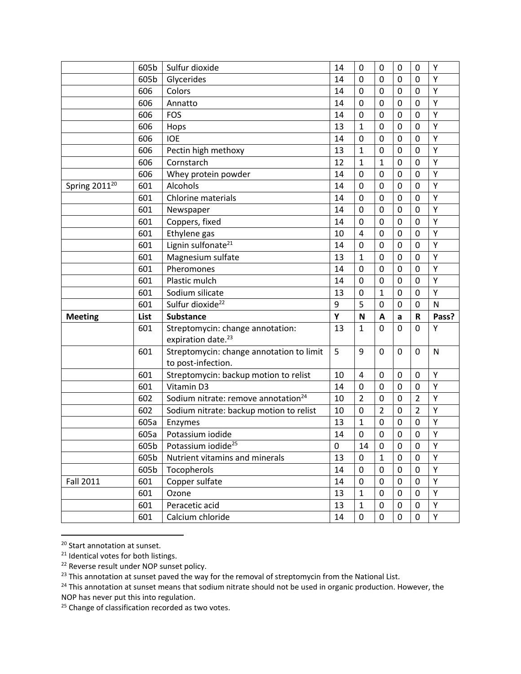|                    | 605b | Sulfur dioxide                                                     | 14 | 0              | 0              | 0              | 0              | Υ     |
|--------------------|------|--------------------------------------------------------------------|----|----------------|----------------|----------------|----------------|-------|
|                    | 605b | Glycerides                                                         | 14 | $\mathbf 0$    | $\mathbf 0$    | $\mathbf 0$    | $\mathbf 0$    | Υ     |
|                    | 606  | Colors                                                             | 14 | $\mathbf 0$    | $\mathbf 0$    | 0              | $\mathbf 0$    | Υ     |
|                    | 606  | Annatto                                                            | 14 | 0              | $\mathbf 0$    | 0              | 0              | Υ     |
|                    | 606  | <b>FOS</b>                                                         | 14 | 0              | $\mathbf 0$    | 0              | $\mathbf 0$    | Υ     |
|                    | 606  | Hops                                                               | 13 | $\mathbf{1}$   | $\mathbf 0$    | 0              | $\mathbf 0$    | Υ     |
|                    | 606  | <b>IOE</b>                                                         | 14 | 0              | $\mathbf 0$    | $\mathbf 0$    | $\mathbf 0$    | Υ     |
|                    | 606  | Pectin high methoxy                                                | 13 | $\mathbf 1$    | $\mathbf 0$    | 0              | $\mathbf 0$    | Υ     |
|                    | 606  | Cornstarch                                                         | 12 | $\mathbf{1}$   | $\mathbf 1$    | 0              | $\mathbf 0$    | Υ     |
|                    | 606  | Whey protein powder                                                | 14 | 0              | $\mathbf 0$    | $\mathbf 0$    | $\mathbf 0$    | Υ     |
| Spring $2011^{20}$ | 601  | Alcohols                                                           | 14 | $\mathbf 0$    | $\mathbf 0$    | $\mathbf 0$    | $\mathbf 0$    | Υ     |
|                    | 601  | <b>Chlorine materials</b>                                          | 14 | 0              | $\mathbf 0$    | 0              | 0              | Υ     |
|                    | 601  | Newspaper                                                          | 14 | 0              | $\mathbf 0$    | 0              | 0              | Υ     |
|                    | 601  | Coppers, fixed                                                     | 14 | $\mathbf 0$    | $\mathbf 0$    | 0              | $\mathbf 0$    | Υ     |
|                    | 601  | Ethylene gas                                                       | 10 | $\overline{4}$ | 0              | 0              | 0              | Υ     |
|                    | 601  | Lignin sulfonate <sup>21</sup>                                     | 14 | 0              | $\mathbf 0$    | 0              | 0              | Υ     |
|                    | 601  | Magnesium sulfate                                                  | 13 | $\mathbf{1}$   | $\mathbf 0$    | 0              | $\mathbf 0$    | Υ     |
|                    | 601  | Pheromones                                                         | 14 | 0              | $\mathbf 0$    | 0              | 0              | Υ     |
|                    | 601  | Plastic mulch                                                      | 14 | 0              | $\mathbf 0$    | 0              | 0              | Υ     |
|                    |      |                                                                    |    |                |                |                |                |       |
|                    | 601  | Sodium silicate                                                    | 13 | 0              | $\mathbf{1}$   | 0              | $\mathbf 0$    | Υ     |
|                    | 601  | Sulfur dioxide <sup>22</sup>                                       | 9  | 5              | $\mathbf 0$    | $\overline{0}$ | $\mathbf 0$    | N     |
| <b>Meeting</b>     | List | <b>Substance</b>                                                   | Y  | N              | A              | a              | R              | Pass? |
|                    | 601  | Streptomycin: change annotation:<br>expiration date. <sup>23</sup> | 13 | $\mathbf{1}$   | $\mathbf 0$    | 0              | 0              | Υ     |
|                    | 601  | Streptomycin: change annotation to limit<br>to post-infection.     | 5  | 9              | 0              | 0              | $\mathbf{0}$   | N     |
|                    | 601  | Streptomycin: backup motion to relist                              | 10 | 4              | $\mathbf 0$    | 0              | $\mathbf{0}$   | Υ     |
|                    | 601  | Vitamin D3                                                         | 14 | 0              | 0              | 0              | $\mathbf{0}$   | Υ     |
|                    | 602  | Sodium nitrate: remove annotation <sup>24</sup>                    | 10 | $\overline{2}$ | $\mathbf 0$    | $\mathbf 0$    | $\overline{2}$ | Υ     |
|                    | 602  | Sodium nitrate: backup motion to relist                            | 10 | 0              | $\overline{2}$ | $\mathbf 0$    | $\overline{2}$ | Υ     |
|                    | 605a | Enzymes                                                            | 13 | $\mathbf{1}$   | $\mathbf 0$    | 0              | 0              | Υ     |
|                    | 605a | Potassium iodide                                                   | 14 | 0              | $\mathbf 0$    | 0              | 0              | Υ     |
|                    | 605b | Potassium iodide <sup>25</sup>                                     | 0  | 14             | 0              | 0              | 0              | Υ     |
|                    | 605b | Nutrient vitamins and minerals                                     | 13 | 0              | $\mathbf{1}$   | 0              | 0              | Y     |
|                    | 605b | Tocopherols                                                        | 14 | 0              | 0              | 0              | 0              | Υ     |
| <b>Fall 2011</b>   | 601  | Copper sulfate                                                     | 14 | 0              | $\mathbf 0$    | 0              | $\mathbf 0$    | Υ     |
|                    | 601  | Ozone                                                              | 13 | $\mathbf{1}$   | $\pmb{0}$      | 0              | $\mathbf 0$    | Υ     |
|                    | 601  | Peracetic acid                                                     | 13 | $\mathbf{1}$   | $\pmb{0}$      | 0              | 0              | Υ     |

<sup>20</sup> Start annotation at sunset.

<sup>&</sup>lt;sup>21</sup> Identical votes for both listings.

<sup>&</sup>lt;sup>22</sup> Reverse result under NOP sunset policy.

<sup>&</sup>lt;sup>23</sup> This annotation at sunset paved the way for the removal of streptomycin from the National List.

<sup>&</sup>lt;sup>24</sup> This annotation at sunset means that sodium nitrate should not be used in organic production. However, the NOP has never put this into regulation.

<sup>&</sup>lt;sup>25</sup> Change of classification recorded as two votes.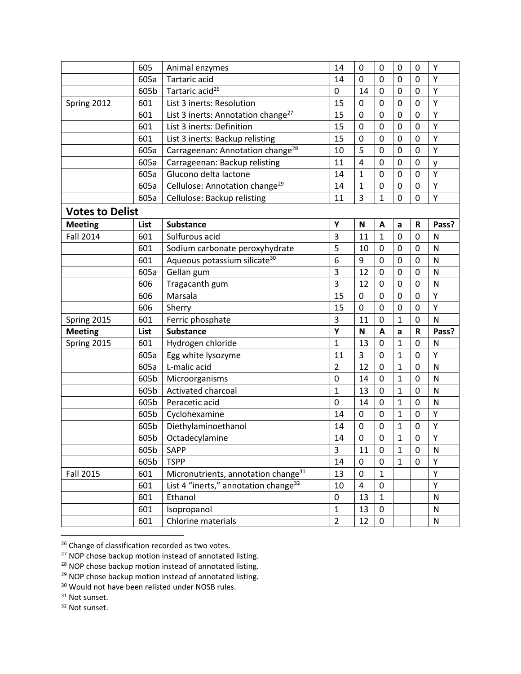|                        | 605  | Animal enzymes                                   | 14             | $\mathbf 0$    | 0              | $\mathbf 0$  | $\mathbf 0$    | Υ            |
|------------------------|------|--------------------------------------------------|----------------|----------------|----------------|--------------|----------------|--------------|
|                        | 605a | Tartaric acid                                    | 14             | $\mathbf 0$    | 0              | 0            | $\mathbf 0$    | Y            |
|                        | 605b | Tartaric acid <sup>26</sup>                      | 0              | 14             | $\mathbf 0$    | 0            | $\mathbf{0}$   | Υ            |
| Spring 2012            | 601  | List 3 inerts: Resolution                        | 15             | $\mathbf 0$    | 0              | 0            | 0              | Υ            |
|                        | 601  | List 3 inerts: Annotation change <sup>27</sup>   | 15             | $\mathbf 0$    | $\mathbf 0$    | $\mathbf 0$  | $\mathbf 0$    | Υ            |
|                        | 601  | List 3 inerts: Definition                        | 15             | $\mathbf 0$    | $\mathbf 0$    | 0            | $\mathbf 0$    | Υ            |
|                        | 601  | List 3 inerts: Backup relisting                  | 15             | 0              | 0              | 0            | 0              | Υ            |
|                        | 605a | Carrageenan: Annotation change <sup>28</sup>     | 10             | 5              | $\mathbf 0$    | 0            | $\mathbf 0$    | Υ            |
|                        | 605a | Carrageenan: Backup relisting                    | 11             | $\overline{4}$ | 0              | 0            | 0              | y            |
|                        | 605a | Glucono delta lactone                            | 14             | $\mathbf 1$    | 0              | 0            | 0              | Υ            |
|                        | 605a | Cellulose: Annotation change <sup>29</sup>       | 14             | $\mathbf{1}$   | $\mathbf 0$    | 0            | $\mathbf 0$    | Υ            |
|                        | 605a | Cellulose: Backup relisting                      | 11             | 3              | $\overline{1}$ | $\mathbf 0$  | 0              | Υ            |
| <b>Votes to Delist</b> |      |                                                  |                |                |                |              |                |              |
| <b>Meeting</b>         | List | <b>Substance</b>                                 | Υ              | ${\sf N}$      | A              | a            | $\mathsf R$    | Pass?        |
| <b>Fall 2014</b>       | 601  | Sulfurous acid                                   | 3              | 11             | $\mathbf{1}$   | 0            | 0              | N            |
|                        | 601  | Sodium carbonate peroxyhydrate                   | 5              | 10             | 0              | $\mathbf 0$  | 0              | $\mathsf{N}$ |
|                        | 601  | Aqueous potassium silicate <sup>30</sup>         | 6              | 9              | 0              | 0            | 0              | $\mathsf{N}$ |
|                        | 605a | Gellan gum                                       | 3              | 12             | $\mathbf 0$    | 0            | 0              | N            |
|                        | 606  | Tragacanth gum                                   | 3              | 12             | 0              | 0            | $\mathbf 0$    | $\mathsf{N}$ |
|                        | 606  | Marsala                                          | 15             | $\mathbf 0$    | $\mathbf 0$    | 0            | $\mathbf 0$    | Υ            |
|                        | 606  | Sherry                                           | 15             | $\mathbf 0$    | $\mathbf 0$    | $\mathbf 0$  | 0              | Υ            |
| Spring 2015            | 601  | Ferric phosphate                                 | 3              | 11             | $\mathbf 0$    | $\mathbf{1}$ | $\mathbf 0$    | N            |
| <b>Meeting</b>         | List | <b>Substance</b>                                 | Y              | $\mathbf N$    | A              | a            | ${\sf R}$      | Pass?        |
| Spring 2015            | 601  | Hydrogen chloride                                | $\mathbf{1}$   | 13             | $\mathbf 0$    | 1            | 0              | N            |
|                        | 605a | Egg white lysozyme                               | 11             | 3              | 0              | $\mathbf{1}$ | 0              | Υ            |
|                        | 605a | L-malic acid                                     | $\overline{2}$ | 12             | $\mathbf 0$    | 1            | 0              | N            |
|                        | 605b | Microorganisms                                   | $\mathbf 0$    | 14             | 0              | $\mathbf{1}$ | 0              | N            |
|                        | 605b | Activated charcoal                               | $\mathbf 1$    | 13             | $\mathbf 0$    | $\mathbf{1}$ | 0              | N            |
|                        | 605b | Peracetic acid                                   | $\mathbf 0$    | 14             | $\mathbf 0$    | $\mathbf{1}$ | $\mathbf 0$    | N            |
|                        | 605b | Cyclohexamine                                    | 14             | $\mathbf 0$    | 0              | $\mathbf{1}$ | 0              | Υ            |
|                        | 605b | Diethylaminoethanol                              | 14             | 0              | $\mathbf 0$    | $\mathbf 1$  | $\mathbf 0$    | Υ            |
|                        | 605b | Octadecylamine                                   | 14             | $\mathbf 0$    | $\mathbf 0$    | $\mathbf{1}$ | $\overline{0}$ | Y            |
|                        | 605b | <b>SAPP</b>                                      | 3              | 11             | 0              | $\mathbf{1}$ | 0              | N            |
|                        | 605b | <b>TSPP</b>                                      | 14             | 0              | $\mathbf 0$    | $\mathbf{1}$ | 0              | Υ            |
| <b>Fall 2015</b>       | 601  | Micronutrients, annotation change <sup>31</sup>  | 13             | $\mathbf 0$    | $\mathbf{1}$   |              |                | Υ            |
|                        | 601  | List 4 "inerts," annotation change <sup>32</sup> | 10             | 4              | $\pmb{0}$      |              |                | Υ            |
|                        | 601  | Ethanol                                          | $\pmb{0}$      | 13             | $\mathbf{1}$   |              |                | N            |
|                        | 601  | Isopropanol                                      | $\mathbf{1}$   | 13             | $\pmb{0}$      |              |                | ${\sf N}$    |
|                        | 601  | Chlorine materials                               | $\overline{2}$ | 12             | 0              |              |                | N            |

<sup>26</sup> Change of classification recorded as two votes.

<sup>32</sup> Not sunset.

<sup>&</sup>lt;sup>27</sup> NOP chose backup motion instead of annotated listing.

<sup>&</sup>lt;sup>28</sup> NOP chose backup motion instead of annotated listing.

<sup>&</sup>lt;sup>29</sup> NOP chose backup motion instead of annotated listing.

<sup>30</sup> Would not have been relisted under NOSB rules.

<sup>&</sup>lt;sup>31</sup> Not sunset.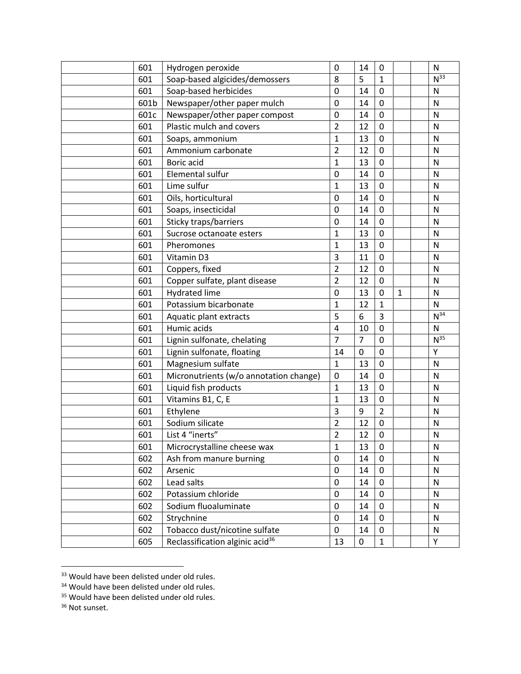| 601  | Hydrogen peroxide                           | $\mathbf 0$    | 14             | $\mathbf 0$    |              | $\mathsf{N}$    |
|------|---------------------------------------------|----------------|----------------|----------------|--------------|-----------------|
| 601  | Soap-based algicides/demossers              | 8              | 5              | $\mathbf{1}$   |              | N <sup>33</sup> |
| 601  | Soap-based herbicides                       | $\mathbf 0$    | 14             | 0              |              | N               |
| 601b | Newspaper/other paper mulch                 | $\pmb{0}$      | 14             | 0              |              | $\mathsf{N}$    |
| 601c | Newspaper/other paper compost               | 0              | 14             | $\mathbf 0$    |              | $\mathsf{N}$    |
| 601  | Plastic mulch and covers                    | $\overline{2}$ | 12             | $\pmb{0}$      |              | ${\sf N}$       |
| 601  | Soaps, ammonium                             | $\mathbf{1}$   | 13             | 0              |              | $\mathsf{N}$    |
| 601  | Ammonium carbonate                          | $\overline{2}$ | 12             | $\mathbf 0$    |              | $\mathsf{N}$    |
| 601  | Boric acid                                  | $\mathbf{1}$   | 13             | 0              |              | $\mathsf{N}$    |
| 601  | Elemental sulfur                            | 0              | 14             | $\pmb{0}$      |              | $\mathsf{N}$    |
| 601  | Lime sulfur                                 | $\mathbf{1}$   | 13             | $\mathbf 0$    |              | $\mathsf{N}$    |
| 601  | Oils, horticultural                         | $\pmb{0}$      | 14             | $\mathbf 0$    |              | ${\sf N}$       |
| 601  | Soaps, insecticidal                         | $\mathbf 0$    | 14             | 0              |              | N               |
| 601  | Sticky traps/barriers                       | 0              | 14             | 0              |              | $\mathsf{N}$    |
| 601  | Sucrose octanoate esters                    | $\mathbf{1}$   | 13             | $\mathbf 0$    |              | $\mathsf{N}$    |
| 601  | Pheromones                                  | $\mathbf 1$    | 13             | $\pmb{0}$      |              | $\mathsf{N}$    |
| 601  | Vitamin D3                                  | 3              | 11             | 0              |              | N               |
| 601  | Coppers, fixed                              | $\overline{2}$ | 12             | $\mathbf 0$    |              | $\mathsf{N}$    |
| 601  | Copper sulfate, plant disease               | $\overline{2}$ | 12             | $\mathbf 0$    |              | ${\sf N}$       |
| 601  | <b>Hydrated lime</b>                        | $\mathbf 0$    | 13             | 0              | $\mathbf{1}$ | ${\sf N}$       |
| 601  | Potassium bicarbonate                       | $\mathbf 1$    | 12             | $\mathbf{1}$   |              | ${\sf N}$       |
| 601  | Aquatic plant extracts                      | 5              | 6              | 3              |              | $N^{34}$        |
| 601  | Humic acids                                 | $\overline{4}$ | 10             | 0              |              | $\mathsf{N}$    |
| 601  | Lignin sulfonate, chelating                 | $\overline{7}$ | $\overline{7}$ | $\mathbf 0$    |              | N <sup>35</sup> |
| 601  | Lignin sulfonate, floating                  | 14             | 0              | $\mathbf 0$    |              | Υ               |
| 601  | Magnesium sulfate                           | $\mathbf{1}$   | 13             | 0              |              | $\mathsf{N}$    |
| 601  | Micronutrients (w/o annotation change)      | 0              | 14             | $\mathbf 0$    |              | N               |
| 601  | Liquid fish products                        | $\mathbf 1$    | 13             | 0              |              | $\mathsf{N}$    |
| 601  | Vitamins B1, C, E                           | $\mathbf{1}$   | 13             | $\mathbf 0$    |              | ${\sf N}$       |
| 601  | Ethylene                                    | 3              | 9              | $\overline{2}$ |              | $\mathsf{N}$    |
| 601  | Sodium silicate                             | $\overline{2}$ | 12             | 0              |              | $\mathsf{N}$    |
| 601  | List 4 "inerts"                             | $\overline{2}$ | 12             | $\pmb{0}$      |              | ${\sf N}$       |
| 601  | Microcrystalline cheese wax                 | $\mathbf{1}$   | 13             | 0              |              | N               |
| 602  | Ash from manure burning                     | $\mathbf 0$    | 14             | 0              |              | $\mathsf{N}$    |
| 602  | Arsenic                                     | 0              | 14             | 0              |              | ${\sf N}$       |
| 602  | Lead salts                                  | 0              | 14             | 0              |              | ${\sf N}$       |
| 602  | Potassium chloride                          | $\pmb{0}$      | 14             | $\pmb{0}$      |              | ${\sf N}$       |
| 602  | Sodium fluoaluminate                        | 0              | 14             | 0              |              | ${\sf N}$       |
| 602  | Strychnine                                  | $\pmb{0}$      | 14             | 0              |              | ${\sf N}$       |
| 602  | Tobacco dust/nicotine sulfate               | $\pmb{0}$      | 14             | 0              |              | $\mathsf{N}$    |
| 605  | Reclassification alginic acid <sup>36</sup> | 13             | 0              | $\mathbf{1}$   |              | Υ               |

<sup>&</sup>lt;sup>33</sup> Would have been delisted under old rules.

Would have been delisted under old rules.

<sup>&</sup>lt;sup>35</sup> Would have been delisted under old rules.

Not sunset.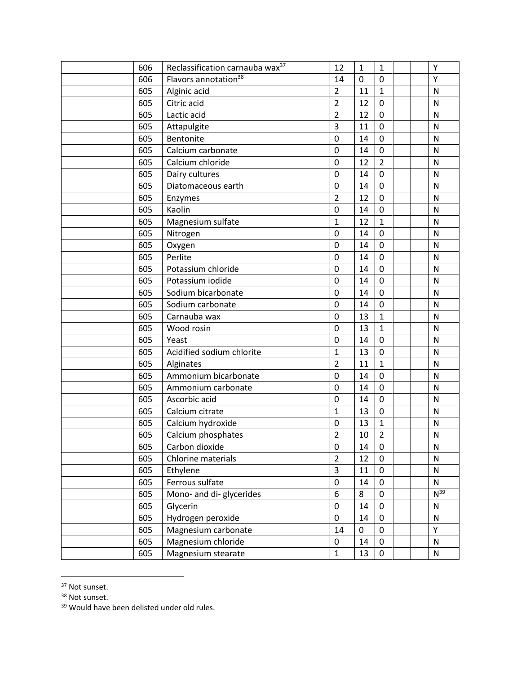| 606 | Reclassification carnauba wax <sup>37</sup> | 12             | $\mathbf{1}$ | $\mathbf{1}$   | Υ            |
|-----|---------------------------------------------|----------------|--------------|----------------|--------------|
| 606 | Flavors annotation <sup>38</sup>            | 14             | 0            | $\overline{0}$ | Y            |
| 605 | Alginic acid                                | $\overline{2}$ | 11           | $\mathbf{1}$   | $\mathsf{N}$ |
| 605 | Citric acid                                 | $\overline{2}$ | 12           | 0              | $\mathsf{N}$ |
| 605 | Lactic acid                                 | $\overline{2}$ | 12           | $\mathbf 0$    | $\mathsf{N}$ |
| 605 | Attapulgite                                 | 3              | 11           | 0              | ${\sf N}$    |
| 605 | Bentonite                                   | 0              | 14           | 0              | $\mathsf{N}$ |
| 605 | Calcium carbonate                           | 0              | 14           | $\mathbf 0$    | $\mathsf{N}$ |
| 605 | Calcium chloride                            | $\pmb{0}$      | 12           | $\overline{2}$ | $\mathsf{N}$ |
| 605 | Dairy cultures                              | 0              | 14           | 0              | $\mathsf{N}$ |
| 605 | Diatomaceous earth                          | 0              | 14           | 0              | $\mathsf{N}$ |
| 605 | Enzymes                                     | $\overline{2}$ | 12           | $\pmb{0}$      | $\mathsf{N}$ |
| 605 | Kaolin                                      | 0              | 14           | 0              | $\mathsf{N}$ |
| 605 | Magnesium sulfate                           | $\mathbf{1}$   | 12           | $\mathbf{1}$   | $\mathsf{N}$ |
| 605 | Nitrogen                                    | $\mathbf 0$    | 14           | $\mathbf 0$    | $\mathsf{N}$ |
| 605 | Oxygen                                      | $\pmb{0}$      | 14           | 0              | N            |
| 605 | Perlite                                     | 0              | 14           | 0              | N            |
| 605 | Potassium chloride                          | 0              | 14           | 0              | $\mathsf{N}$ |
| 605 | Potassium iodide                            | 0              | 14           | 0              | $\mathsf{N}$ |
| 605 | Sodium bicarbonate                          | 0              | 14           | 0              | $\mathsf{N}$ |
| 605 | Sodium carbonate                            | $\mathbf 0$    | 14           | $\pmb{0}$      | N            |
| 605 | Carnauba wax                                | 0              | 13           | $\mathbf{1}$   | $\mathsf{N}$ |
| 605 | Wood rosin                                  | $\mathbf 0$    | 13           | $\mathbf{1}$   | $\mathsf{N}$ |
| 605 | Yeast                                       | $\mathbf 0$    | 14           | 0              | $\mathsf{N}$ |
| 605 | Acidified sodium chlorite                   | $\mathbf 1$    | 13           | $\pmb{0}$      | ${\sf N}$    |
| 605 | Alginates                                   | $\overline{2}$ | 11           | $\mathbf{1}$   | $\mathsf{N}$ |
| 605 | Ammonium bicarbonate                        | $\mathbf 0$    | 14           | $\mathbf 0$    | N            |
| 605 | Ammonium carbonate                          | $\mathbf 0$    | 14           | $\pmb{0}$      | $\mathsf{N}$ |
| 605 | Ascorbic acid                               | $\pmb{0}$      | 14           | $\pmb{0}$      | ${\sf N}$    |
| 605 | Calcium citrate                             | $\mathbf{1}$   | 13           | $\mathbf 0$    | $\mathsf{N}$ |
| 605 | Calcium hydroxide                           | 0              | 13           | $\mathbf{1}$   | $\mathsf{N}$ |
| 605 | Calcium phosphates                          | $\overline{2}$ | 10           | $\overline{2}$ | ${\sf N}$    |
| 605 | Carbon dioxide                              | 0              | 14           | $\pmb{0}$      | N            |
| 605 | Chlorine materials                          | $\overline{2}$ | 12           | 0              | ${\sf N}$    |
| 605 | Ethylene                                    | 3              | 11           | 0              | $\mathsf{N}$ |
| 605 | Ferrous sulfate                             | 0              | 14           | 0              | $\mathsf{N}$ |
| 605 | Mono- and di-glycerides                     | 6              | 8            | 0              | $N^{39}$     |
| 605 | Glycerin                                    | 0              | 14           | 0              | N            |
| 605 | Hydrogen peroxide                           | 0              | 14           | 0              | ${\sf N}$    |
| 605 | Magnesium carbonate                         | 14             | 0            | 0              | Υ            |
| 605 | Magnesium chloride                          | 0              | 14           | 0              | ${\sf N}$    |
| 605 | Magnesium stearate                          | $\mathbf{1}$   | 13           | 0              | ${\sf N}$    |

Not sunset.

Not sunset.

<sup>&</sup>lt;sup>39</sup> Would have been delisted under old rules.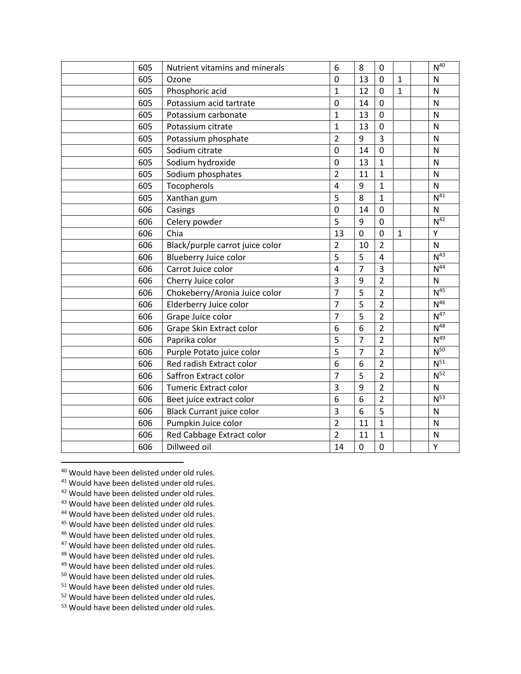| 605 | Nutrient vitamins and minerals   | 6              | 8              | $\mathbf 0$    |              | $N^{40}$        |
|-----|----------------------------------|----------------|----------------|----------------|--------------|-----------------|
| 605 | Ozone                            | $\mathbf 0$    | 13             | $\mathbf 0$    | $\mathbf{1}$ | $\mathsf{N}$    |
| 605 | Phosphoric acid                  | $\mathbf{1}$   | 12             | $\mathbf 0$    | $\mathbf 1$  | $\mathsf{N}$    |
| 605 | Potassium acid tartrate          | $\mathbf 0$    | 14             | $\mathbf 0$    |              | $\mathsf{N}$    |
| 605 | Potassium carbonate              | $\mathbf{1}$   | 13             | $\mathbf 0$    |              | N               |
| 605 | Potassium citrate                | $\mathbf{1}$   | 13             | 0              |              | $\mathsf{N}$    |
| 605 | Potassium phosphate              | $\overline{2}$ | 9              | $\overline{3}$ |              | $\mathsf{N}$    |
| 605 | Sodium citrate                   | $\mathbf 0$    | 14             | $\pmb{0}$      |              | ${\sf N}$       |
| 605 | Sodium hydroxide                 | $\pmb{0}$      | 13             | $\mathbf{1}$   |              | $\mathsf{N}$    |
| 605 | Sodium phosphates                | $\overline{2}$ | 11             | $\mathbf 1$    |              | $\mathsf{N}$    |
| 605 | Tocopherols                      | $\overline{4}$ | 9              | $\mathbf{1}$   |              | ${\sf N}$       |
| 605 | Xanthan gum                      | 5              | 8              | $\mathbf{1}$   |              | N <sup>41</sup> |
| 606 | Casings                          | $\mathbf 0$    | 14             | $\mathbf 0$    |              | ${\sf N}$       |
| 606 | Celery powder                    | 5              | 9              | $\mathbf 0$    |              | N <sup>42</sup> |
| 606 | Chia                             | 13             | 0              | $\mathbf 0$    | $\mathbf 1$  | Υ               |
| 606 | Black/purple carrot juice color  | $\overline{2}$ | 10             | $\overline{2}$ |              | ${\sf N}$       |
| 606 | Blueberry Juice color            | 5              | 5              | $\overline{4}$ |              | N <sup>43</sup> |
| 606 | Carrot Juice color               | $\overline{4}$ | $\overline{7}$ | $\overline{3}$ |              | N <sup>44</sup> |
| 606 | Cherry Juice color               | 3              | 9              | $\overline{2}$ |              | $\mathsf{N}$    |
| 606 | Chokeberry/Aronia Juice color    | $\overline{7}$ | 5              | $\overline{2}$ |              | N <sup>45</sup> |
| 606 | Elderberry Juice color           | $\overline{7}$ | 5              | $\overline{2}$ |              | $N^{46}$        |
| 606 | Grape Juice color                | $\overline{7}$ | 5              | $\overline{2}$ |              | N <sup>47</sup> |
| 606 | Grape Skin Extract color         | 6              | 6              | $\overline{2}$ |              | N <sup>48</sup> |
| 606 | Paprika color                    | 5              | $\overline{7}$ | $\overline{2}$ |              | N <sup>49</sup> |
| 606 | Purple Potato juice color        | 5              | $\overline{7}$ | $\overline{2}$ |              | $N^{50}$        |
| 606 | Red radish Extract color         | 6              | 6              | $\overline{2}$ |              | $N^{51}$        |
| 606 | Saffron Extract color            | $\overline{7}$ | 5              | $\overline{2}$ |              | $N^{52}$        |
| 606 | <b>Tumeric Extract color</b>     | 3              | 9              | $\overline{2}$ |              | ${\sf N}$       |
| 606 | Beet juice extract color         | 6              | 6              | $\overline{2}$ |              | $N^{53}$        |
| 606 | <b>Black Currant juice color</b> | 3              | 6              | 5              |              | ${\sf N}$       |
| 606 | Pumpkin Juice color              | $\overline{2}$ | 11             | $\mathbf{1}$   |              | N               |
| 606 | Red Cabbage Extract color        | $\overline{2}$ | 11             | $\mathbf{1}$   |              | $\mathsf{N}$    |
| 606 | Dillweed oil                     | 14             | 0              | $\mathbf 0$    |              | Υ               |

Would have been delisted under old rules.

- Would have been delisted under old rules.
- 42 Would have been delisted under old rules.
- 43 Would have been delisted under old rules.
- Would have been delisted under old rules.
- 45 Would have been delisted under old rules.
- Would have been delisted under old rules.
- <sup>47</sup> Would have been delisted under old rules.
- Would have been delisted under old rules.
- 49 Would have been delisted under old rules.
- Would have been delisted under old rules.
- Would have been delisted under old rules.
- Would have been delisted under old rules.
- Would have been delisted under old rules.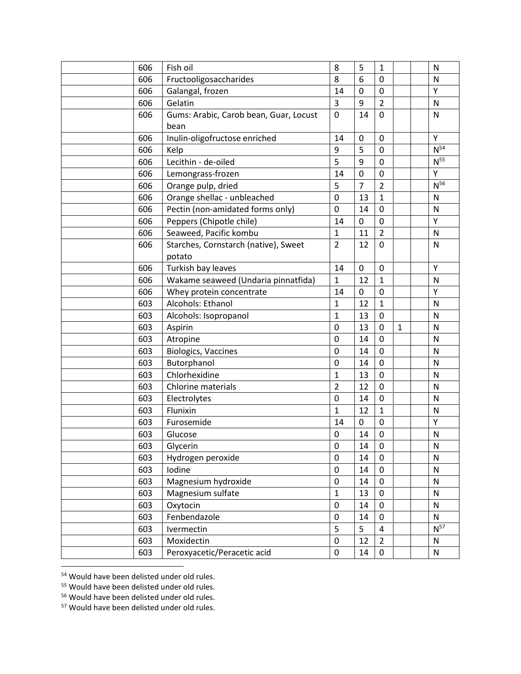| 606 | Fish oil                               | 8              | 5              | $\mathbf{1}$            |              | N               |
|-----|----------------------------------------|----------------|----------------|-------------------------|--------------|-----------------|
| 606 | Fructooligosaccharides                 | 8              | 6              | $\overline{0}$          |              | N               |
| 606 | Galangal, frozen                       | 14             | 0              | 0                       |              | Υ               |
| 606 | Gelatin                                | 3              | 9              | $\overline{2}$          |              | N               |
| 606 | Gums: Arabic, Carob bean, Guar, Locust | $\mathbf 0$    | 14             | 0                       |              | N               |
|     | bean                                   |                |                |                         |              |                 |
| 606 | Inulin-oligofructose enriched          | 14             | 0              | 0                       |              | Y               |
| 606 | Kelp                                   | 9              | 5              | 0                       |              | $N^{54}$        |
| 606 | Lecithin - de-oiled                    | 5              | 9              | $\mathbf 0$             |              | N <sup>55</sup> |
| 606 | Lemongrass-frozen                      | 14             | $\mathbf 0$    | $\pmb{0}$               |              | Υ               |
| 606 | Orange pulp, dried                     | 5              | $\overline{7}$ | $\overline{2}$          |              | $N^{56}$        |
| 606 | Orange shellac - unbleached            | 0              | 13             | $\mathbf{1}$            |              | ${\sf N}$       |
| 606 | Pectin (non-amidated forms only)       | 0              | 14             | $\mathbf 0$             |              | $\mathsf{N}$    |
| 606 | Peppers (Chipotle chile)               | 14             | 0              | 0                       |              | Y               |
| 606 | Seaweed, Pacific kombu                 | $\mathbf{1}$   | 11             | $\overline{2}$          |              | N               |
| 606 | Starches, Cornstarch (native), Sweet   | $\overline{2}$ | 12             | 0                       |              | N               |
|     | potato                                 |                |                |                         |              |                 |
| 606 | Turkish bay leaves                     | 14             | 0              | 0                       |              | Y               |
| 606 | Wakame seaweed (Undaria pinnatfida)    | 1              | 12             | $\mathbf{1}$            |              | N               |
| 606 | Whey protein concentrate               | 14             | 0              | 0                       |              | Υ               |
| 603 | Alcohols: Ethanol                      | $\mathbf{1}$   | 12             | $\mathbf{1}$            |              | $\mathsf{N}$    |
| 603 | Alcohols: Isopropanol                  | $\mathbf 1$    | 13             | 0                       |              | $\mathsf{N}$    |
| 603 | Aspirin                                | 0              | 13             | $\mathbf 0$             | $\mathbf{1}$ | $\mathsf{N}$    |
| 603 | Atropine                               | 0              | 14             | 0                       |              | $\mathsf{N}$    |
| 603 | <b>Biologics, Vaccines</b>             | $\mathbf 0$    | 14             | $\mathbf 0$             |              | $\mathsf{N}$    |
| 603 | Butorphanol                            | 0              | 14             | 0                       |              | N               |
| 603 | Chlorhexidine                          | $\mathbf{1}$   | 13             | 0                       |              | N               |
| 603 | <b>Chlorine materials</b>              | $\overline{2}$ | 12             | $\mathbf 0$             |              | $\mathsf{N}$    |
| 603 | Electrolytes                           | 0              | 14             | 0                       |              | N               |
| 603 | Flunixin                               | $\mathbf{1}$   | 12             | $\mathbf{1}$            |              | $\mathsf{N}$    |
| 603 | Furosemide                             | 14             | 0              | $\mathbf 0$             |              | Υ               |
| 603 | Glucose                                | 0              | 14             | 0                       |              | ${\sf N}$       |
| 603 | Glycerin                               | 0              | 14             | $\pmb{0}$               |              | ${\sf N}$       |
| 603 | Hydrogen peroxide                      | 0              | 14             | $\mathbf 0$             |              | ${\sf N}$       |
| 603 | Iodine                                 | $\pmb{0}$      | 14             | 0                       |              | ${\sf N}$       |
| 603 | Magnesium hydroxide                    | 0              | 14             | 0                       |              | ${\sf N}$       |
| 603 | Magnesium sulfate                      | $\mathbf{1}$   | 13             | 0                       |              | ${\sf N}$       |
| 603 | Oxytocin                               | 0              | 14             | 0                       |              | ${\sf N}$       |
| 603 | Fenbendazole                           | $\pmb{0}$      | 14             | 0                       |              | $\mathsf{N}$    |
| 603 | Ivermectin                             | 5              | 5              | $\overline{\mathbf{4}}$ |              | $N^{57}$        |
| 603 | Moxidectin                             | 0              | 12             | $\overline{2}$          |              | ${\sf N}$       |
| 603 | Peroxyacetic/Peracetic acid            | $\pmb{0}$      | 14             | 0                       |              | ${\sf N}$       |
|     |                                        |                |                |                         |              |                 |

Would have been delisted under old rules.

<sup>55</sup> Would have been delisted under old rules.

Would have been delisted under old rules.

Would have been delisted under old rules.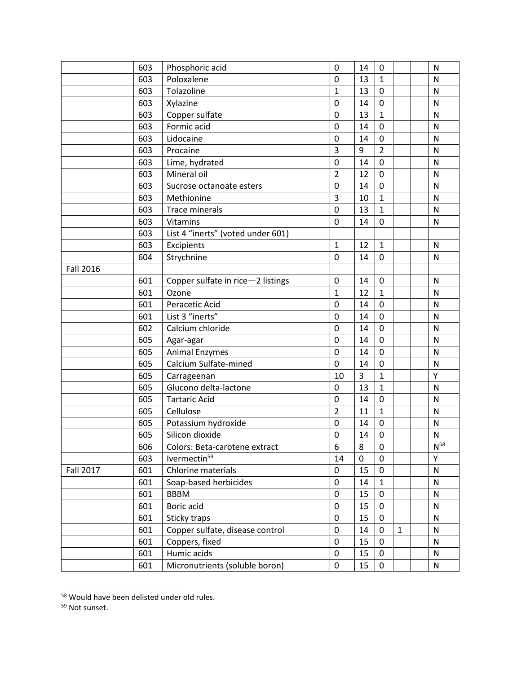|                  | 603 | Phosphoric acid                   | $\mathbf 0$    | 14 | $\mathbf 0$    |              | N            |
|------------------|-----|-----------------------------------|----------------|----|----------------|--------------|--------------|
|                  | 603 | Poloxalene                        | $\mathbf 0$    | 13 | $\mathbf{1}$   |              | N            |
|                  | 603 | Tolazoline                        | 1              | 13 | $\mathbf 0$    |              | N            |
|                  | 603 | Xylazine                          | $\mathbf 0$    | 14 | $\mathbf 0$    |              | N            |
|                  | 603 | Copper sulfate                    | $\mathbf 0$    | 13 | $\mathbf{1}$   |              | $\mathsf{N}$ |
|                  | 603 | Formic acid                       | $\mathbf 0$    | 14 | $\mathbf 0$    |              | $\mathsf{N}$ |
|                  | 603 | Lidocaine                         | 0              | 14 | $\pmb{0}$      |              | $\mathsf{N}$ |
|                  | 603 | Procaine                          | $\overline{3}$ | 9  | $\overline{2}$ |              | $\mathsf{N}$ |
|                  | 603 | Lime, hydrated                    | $\mathbf 0$    | 14 | $\mathbf 0$    |              | $\mathsf{N}$ |
|                  | 603 | Mineral oil                       | $\overline{2}$ | 12 | $\pmb{0}$      |              | N            |
|                  | 603 | Sucrose octanoate esters          | $\mathbf 0$    | 14 | $\mathbf 0$    |              | $\mathsf{N}$ |
|                  | 603 | Methionine                        | 3              | 10 | $\mathbf{1}$   |              | N            |
|                  | 603 | <b>Trace minerals</b>             | $\mathbf 0$    | 13 | $\mathbf{1}$   |              | N            |
|                  | 603 | Vitamins                          | $\mathbf 0$    | 14 | $\mathbf 0$    |              | N            |
|                  | 603 | List 4 "inerts" (voted under 601) |                |    |                |              |              |
|                  | 603 | Excipients                        | $\mathbf 1$    | 12 | $\mathbf{1}$   |              | N            |
|                  | 604 | Strychnine                        | 0              | 14 | 0              |              | N            |
| <b>Fall 2016</b> |     |                                   |                |    |                |              |              |
|                  | 601 | Copper sulfate in rice-2 listings | 0              | 14 | $\pmb{0}$      |              | N            |
|                  | 601 | Ozone                             | 1              | 12 | $\mathbf{1}$   |              | $\mathsf{N}$ |
|                  | 601 | Peracetic Acid                    | $\mathbf 0$    | 14 | $\pmb{0}$      |              | N            |
|                  | 601 | List 3 "inerts"                   | $\mathbf 0$    | 14 | $\mathbf 0$    |              | N            |
|                  | 602 | Calcium chloride                  | $\mathbf 0$    | 14 | $\mathbf 0$    |              | $\mathsf{N}$ |
|                  | 605 | Agar-agar                         | $\mathbf 0$    | 14 | $\mathbf 0$    |              | $\mathsf{N}$ |
|                  | 605 | <b>Animal Enzymes</b>             | $\mathbf 0$    | 14 | $\mathbf 0$    |              | $\mathsf{N}$ |
|                  | 605 | Calcium Sulfate-mined             | $\mathbf 0$    | 14 | $\mathbf 0$    |              | $\mathsf{N}$ |
|                  | 605 | Carrageenan                       | 10             | 3  | $\mathbf 1$    |              | Υ            |
|                  | 605 | Glucono delta-lactone             | $\mathbf 0$    | 13 | $\mathbf{1}$   |              | $\mathsf{N}$ |
|                  | 605 | <b>Tartaric Acid</b>              | $\mathbf 0$    | 14 | $\mathbf 0$    |              | ${\sf N}$    |
|                  | 605 | Cellulose                         | $\overline{2}$ | 11 | $\mathbf{1}$   |              | $\mathsf{N}$ |
|                  | 605 | Potassium hydroxide               | 0              | 14 | $\mathbf 0$    |              | $\mathsf{N}$ |
|                  | 605 | Silicon dioxide                   | $\mathbf 0$    | 14 | $\mathbf 0$    |              | $\mathsf{N}$ |
|                  | 606 | Colors: Beta-carotene extract     | 6              | 8  | $\pmb{0}$      |              | $N^{58}$     |
|                  | 603 | lvermectin <sup>59</sup>          | 14             | 0  | $\mathbf 0$    |              | Υ            |
| <b>Fall 2017</b> | 601 | Chlorine materials                | 0              | 15 | $\pmb{0}$      |              | ${\sf N}$    |
|                  | 601 | Soap-based herbicides             | $\mathbf 0$    | 14 | $\mathbf{1}$   |              | ${\sf N}$    |
|                  | 601 | <b>BBBM</b>                       | $\pmb{0}$      | 15 | $\mathbf 0$    |              | ${\sf N}$    |
|                  | 601 | Boric acid                        | 0              | 15 | 0              |              | ${\sf N}$    |
|                  | 601 | Sticky traps                      | $\pmb{0}$      | 15 | $\mathbf 0$    |              | ${\sf N}$    |
|                  | 601 | Copper sulfate, disease control   | $\pmb{0}$      | 14 | $\mathbf 0$    | $\mathbf{1}$ | ${\sf N}$    |
|                  | 601 | Coppers, fixed                    | 0              | 15 | 0              |              | ${\sf N}$    |
|                  | 601 | Humic acids                       | $\pmb{0}$      | 15 | $\mathbf 0$    |              | $\mathsf{N}$ |
|                  | 601 | Micronutrients (soluble boron)    | $\pmb{0}$      | 15 | $\pmb{0}$      |              | ${\sf N}$    |

Would have been delisted under old rules.

Not sunset.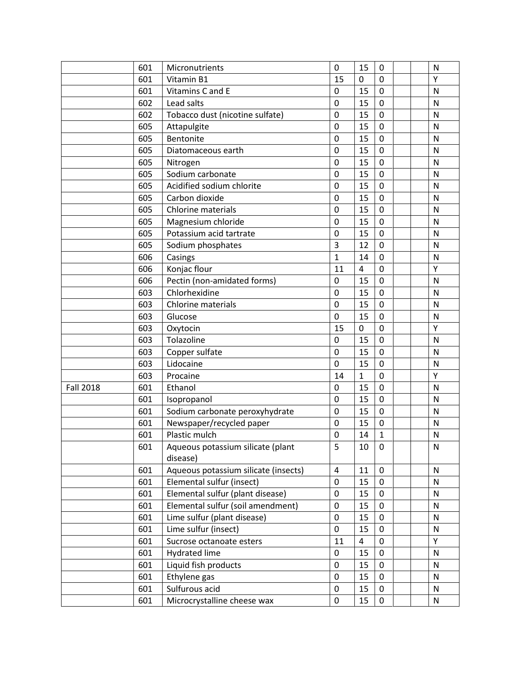|                  | 601 | Micronutrients                       | $\mathbf 0$    | 15                      | $\mathbf 0$ | N            |
|------------------|-----|--------------------------------------|----------------|-------------------------|-------------|--------------|
|                  | 601 | Vitamin B1                           | 15             | 0                       | 0           | Y            |
|                  | 601 | Vitamins C and E                     | $\mathbf 0$    | 15                      | $\mathbf 0$ | N            |
|                  | 602 | Lead salts                           | $\mathbf 0$    | 15                      | $\mathbf 0$ | N            |
|                  | 602 | Tobacco dust (nicotine sulfate)      | $\mathbf 0$    | 15                      | $\mathbf 0$ | $\mathsf{N}$ |
|                  | 605 | Attapulgite                          | $\mathbf 0$    | 15                      | $\mathbf 0$ | N            |
|                  | 605 | Bentonite                            | $\mathbf 0$    | 15                      | $\mathbf 0$ | N            |
|                  | 605 | Diatomaceous earth                   | $\mathbf 0$    | 15                      | $\mathbf 0$ | $\mathsf{N}$ |
|                  | 605 | Nitrogen                             | $\mathbf 0$    | 15                      | $\mathbf 0$ | $\mathsf{N}$ |
|                  | 605 | Sodium carbonate                     | $\mathbf 0$    | 15                      | $\mathbf 0$ | N            |
|                  | 605 | Acidified sodium chlorite            | $\mathbf 0$    | 15                      | $\mathbf 0$ | N            |
|                  | 605 | Carbon dioxide                       | $\mathbf 0$    | 15                      | $\mathbf 0$ | $\mathsf{N}$ |
|                  | 605 | Chlorine materials                   | $\mathbf 0$    | 15                      | $\mathbf 0$ | $\mathsf{N}$ |
|                  | 605 | Magnesium chloride                   | 0              | 15                      | $\mathbf 0$ | $\mathsf{N}$ |
|                  | 605 | Potassium acid tartrate              | $\mathbf 0$    | 15                      | $\mathbf 0$ | $\mathsf{N}$ |
|                  | 605 | Sodium phosphates                    | 3              | 12                      | $\mathbf 0$ | N            |
|                  | 606 | Casings                              | $\mathbf{1}$   | 14                      | $\mathbf 0$ | N            |
|                  | 606 | Konjac flour                         | 11             | $\overline{\mathbf{4}}$ | $\mathbf 0$ | Υ            |
|                  | 606 | Pectin (non-amidated forms)          | $\mathbf 0$    | 15                      | $\mathbf 0$ | N            |
|                  | 603 | Chlorhexidine                        | $\mathbf 0$    | 15                      | $\mathbf 0$ | N            |
|                  | 603 | Chlorine materials                   | $\mathbf 0$    | 15                      | $\mathbf 0$ | $\mathsf{N}$ |
|                  | 603 | Glucose                              | $\mathbf 0$    | 15                      | $\mathbf 0$ | N            |
|                  | 603 | Oxytocin                             | 15             | 0                       | $\mathbf 0$ | Υ            |
|                  | 603 | Tolazoline                           | $\pmb{0}$      | 15                      | $\mathbf 0$ | N            |
|                  | 603 | Copper sulfate                       | $\mathbf 0$    | 15                      | $\mathbf 0$ | $\mathsf{N}$ |
|                  | 603 | Lidocaine                            | $\mathbf 0$    | 15                      | $\mathbf 0$ | $\mathsf{N}$ |
|                  | 603 | Procaine                             | 14             | 1                       | $\mathbf 0$ | Υ            |
| <b>Fall 2018</b> | 601 | Ethanol                              | $\mathbf 0$    | 15                      | $\mathbf 0$ | N            |
|                  | 601 | Isopropanol                          | $\mathbf 0$    | 15                      | $\mathbf 0$ | N            |
|                  | 601 | Sodium carbonate peroxyhydrate       | $\mathbf 0$    | 15                      | $\mathbf 0$ | $\mathsf{N}$ |
|                  | 601 | Newspaper/recycled paper             | $\mathbf 0$    | 15                      | $\mathbf 0$ | N            |
|                  | 601 | Plastic mulch                        | $\mathbf 0$    | 14                      | $\mathbf 1$ | $\mathsf{N}$ |
|                  | 601 | Aqueous potassium silicate (plant    | 5              | 10                      | $\mathbf 0$ | ${\sf N}$    |
|                  |     | disease)                             |                |                         |             |              |
|                  | 601 | Aqueous potassium silicate (insects) | $\overline{4}$ | 11                      | $\mathbf 0$ | $\mathsf{N}$ |
|                  | 601 | Elemental sulfur (insect)            | 0              | 15                      | 0           | ${\sf N}$    |
|                  | 601 | Elemental sulfur (plant disease)     | $\pmb{0}$      | 15                      | $\mathbf 0$ | N            |
|                  | 601 | Elemental sulfur (soil amendment)    | $\mathbf 0$    | 15                      | $\mathbf 0$ | N            |
|                  | 601 | Lime sulfur (plant disease)          | 0              | 15                      | 0           | N            |
|                  | 601 | Lime sulfur (insect)                 | 0              | 15                      | $\mathbf 0$ | N            |
|                  | 601 | Sucrose octanoate esters             | 11             | 4                       | $\pmb{0}$   | Υ            |
|                  | 601 | Hydrated lime                        | 0              | 15                      | 0           | N            |
|                  | 601 | Liquid fish products                 | $\mathbf 0$    | 15                      | $\mathbf 0$ | N            |
|                  | 601 | Ethylene gas                         | $\mathbf 0$    | 15                      | $\mathbf 0$ | N            |
|                  |     |                                      |                |                         |             |              |
|                  | 601 | Sulfurous acid                       | 0              | 15                      | 0           | N            |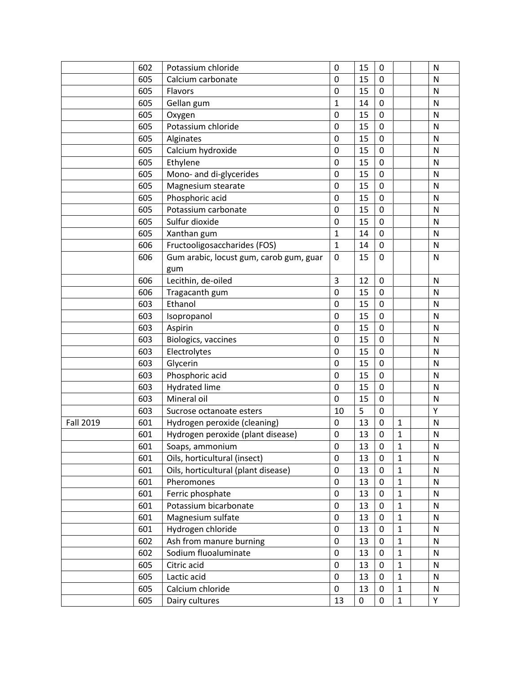|                  | 602 | Potassium chloride                      | $\mathbf 0$ | 15 | 0           |              | $\mathsf{N}$ |
|------------------|-----|-----------------------------------------|-------------|----|-------------|--------------|--------------|
|                  | 605 | Calcium carbonate                       | 0           | 15 | 0           |              | N            |
|                  | 605 | Flavors                                 | 0           | 15 | $\mathbf 0$ |              | N            |
|                  | 605 | Gellan gum                              | $\mathbf 1$ | 14 | $\pmb{0}$   |              | N            |
|                  | 605 | Oxygen                                  | $\pmb{0}$   | 15 | $\mathbf 0$ |              | N            |
|                  | 605 | Potassium chloride                      | $\mathbf 0$ | 15 | $\mathbf 0$ |              | N            |
|                  | 605 | Alginates                               | 0           | 15 | $\pmb{0}$   |              | N            |
|                  | 605 | Calcium hydroxide                       | $\mathbf 0$ | 15 | $\mathbf 0$ |              | N            |
|                  | 605 | Ethylene                                | $\mathbf 0$ | 15 | $\mathbf 0$ |              | N            |
|                  | 605 | Mono- and di-glycerides                 | 0           | 15 | 0           |              | N            |
|                  | 605 | Magnesium stearate                      | $\pmb{0}$   | 15 | $\pmb{0}$   |              | N            |
|                  | 605 | Phosphoric acid                         | $\pmb{0}$   | 15 | $\mathbf 0$ |              | N            |
|                  | 605 | Potassium carbonate                     | $\mathbf 0$ | 15 | $\pmb{0}$   |              | N            |
|                  | 605 | Sulfur dioxide                          | $\pmb{0}$   | 15 | $\pmb{0}$   |              | N            |
|                  | 605 | Xanthan gum                             | $\mathbf 1$ | 14 | $\mathbf 0$ |              | N            |
|                  | 606 | Fructooligosaccharides (FOS)            | $\mathbf 1$ | 14 | 0           |              | N            |
|                  | 606 | Gum arabic, locust gum, carob gum, guar | $\mathbf 0$ | 15 | 0           |              | N            |
|                  |     | gum                                     |             |    |             |              |              |
|                  | 606 | Lecithin, de-oiled                      | 3           | 12 | $\mathbf 0$ |              | N            |
|                  | 606 | Tragacanth gum                          | 0           | 15 | $\pmb{0}$   |              | N            |
|                  | 603 | Ethanol                                 | 0           | 15 | $\mathbf 0$ |              | N            |
|                  | 603 | Isopropanol                             | 0           | 15 | $\mathbf 0$ |              | N            |
|                  | 603 | Aspirin                                 | $\pmb{0}$   | 15 | $\pmb{0}$   |              | N            |
|                  | 603 | Biologics, vaccines                     | 0           | 15 | $\mathbf 0$ |              | N            |
|                  | 603 | Electrolytes                            | $\mathbf 0$ | 15 | $\mathbf 0$ |              | N            |
|                  | 603 | Glycerin                                | 0           | 15 | $\mathbf 0$ |              | N            |
|                  | 603 | Phosphoric acid                         | 0           | 15 | $\mathbf 0$ |              | N            |
|                  | 603 | <b>Hydrated lime</b>                    | $\mathbf 0$ | 15 | $\mathbf 0$ |              | N            |
|                  | 603 | Mineral oil                             | $\mathbf 0$ | 15 | $\pmb{0}$   |              | N            |
|                  | 603 | Sucrose octanoate esters                | 10          | 5  | $\mathbf 0$ |              | Υ            |
| <b>Fall 2019</b> | 601 | Hydrogen peroxide (cleaning)            | $\mathbf 0$ | 13 | $\mathbf 0$ | $\mathbf{1}$ | N            |
|                  | 601 | Hydrogen peroxide (plant disease)       | 0           | 13 | $\mathbf 0$ | 1            | N            |
|                  | 601 | Soaps, ammonium                         | 0           | 13 | 0           | $\mathbf{1}$ | N            |
|                  | 601 | Oils, horticultural (insect)            | 0           | 13 | $\mathbf 0$ | $\mathbf{1}$ | $\mathsf{N}$ |
|                  | 601 | Oils, horticultural (plant disease)     | $\pmb{0}$   | 13 | 0           | $\mathbf{1}$ | $\mathsf{N}$ |
|                  | 601 | Pheromones                              | $\pmb{0}$   | 13 | 0           | $\mathbf{1}$ | ${\sf N}$    |
|                  | 601 | Ferric phosphate                        | $\pmb{0}$   | 13 | $\mathbf 0$ | $\mathbf{1}$ | $\mathsf{N}$ |
|                  | 601 | Potassium bicarbonate                   | $\pmb{0}$   | 13 | 0           | $\mathbf{1}$ | $\mathsf{N}$ |
|                  | 601 | Magnesium sulfate                       | 0           | 13 | 0           | $\mathbf{1}$ | N            |
|                  | 601 | Hydrogen chloride                       | $\pmb{0}$   | 13 | 0           | $\mathbf{1}$ | N            |
|                  | 602 | Ash from manure burning                 | $\pmb{0}$   | 13 | 0           | $\mathbf{1}$ | $\mathsf{N}$ |
|                  | 602 | Sodium fluoaluminate                    | $\pmb{0}$   | 13 | 0           | $\mathbf{1}$ | N            |
|                  | 605 | Citric acid                             | 0           | 13 | 0           | $\mathbf{1}$ | ${\sf N}$    |
|                  | 605 | Lactic acid                             | $\pmb{0}$   | 13 | 0           | $\mathbf{1}$ | ${\sf N}$    |
|                  | 605 | Calcium chloride                        | $\pmb{0}$   | 13 | 0           | $\mathbf{1}$ | N            |
|                  | 605 | Dairy cultures                          | 13          | 0  | 0           | $\mathbf{1}$ | Υ            |
|                  |     |                                         |             |    |             |              |              |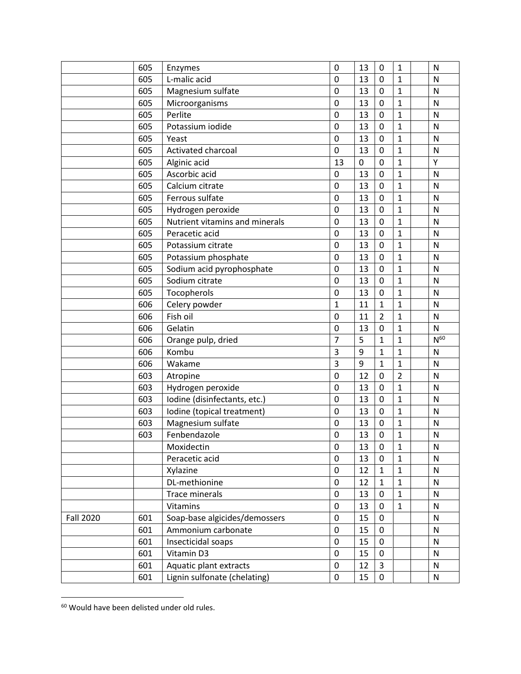|                  | 605 | Enzymes                        | $\mathbf 0$    | 13 | $\mathbf 0$    | $\mathbf{1}$   | N            |
|------------------|-----|--------------------------------|----------------|----|----------------|----------------|--------------|
|                  | 605 | L-malic acid                   | $\mathbf 0$    | 13 | $\mathbf 0$    | $\mathbf{1}$   | N            |
|                  | 605 | Magnesium sulfate              | $\mathbf 0$    | 13 | $\mathbf 0$    | $\mathbf{1}$   | N            |
|                  | 605 | Microorganisms                 | $\mathbf 0$    | 13 | 0              | 1              | N            |
|                  | 605 | Perlite                        | $\mathbf 0$    | 13 | $\mathbf 0$    | $\mathbf 1$    | $\mathsf{N}$ |
|                  | 605 | Potassium iodide               | $\mathbf 0$    | 13 | $\mathbf 0$    | $\mathbf{1}$   | $\mathsf{N}$ |
|                  | 605 | Yeast                          | $\mathbf 0$    | 13 | $\mathbf 0$    | $\mathbf{1}$   | N            |
|                  | 605 | Activated charcoal             | $\mathbf 0$    | 13 | $\mathbf 0$    | $\mathbf{1}$   | ${\sf N}$    |
|                  | 605 | Alginic acid                   | 13             | 0  | $\mathbf 0$    | $\mathbf{1}$   | Υ            |
|                  | 605 | Ascorbic acid                  | 0              | 13 | $\mathbf 0$    | $\mathbf{1}$   | N            |
|                  | 605 | Calcium citrate                | $\mathbf 0$    | 13 | $\mathbf 0$    | $\mathbf{1}$   | $\mathsf{N}$ |
|                  | 605 | Ferrous sulfate                | $\mathbf 0$    | 13 | $\mathbf 0$    | $\mathbf 1$    | N            |
|                  | 605 | Hydrogen peroxide              | $\mathbf 0$    | 13 | $\mathbf 0$    | $\mathbf 1$    | $\mathsf{N}$ |
|                  | 605 | Nutrient vitamins and minerals | 0              | 13 | 0              | 1              | $\mathsf{N}$ |
|                  | 605 | Peracetic acid                 | $\mathbf 0$    | 13 | $\mathbf 0$    | $\mathbf 1$    | N            |
|                  | 605 | Potassium citrate              | $\mathbf 0$    | 13 | $\mathbf 0$    | $\mathbf 1$    | N            |
|                  | 605 | Potassium phosphate            | $\mathbf 0$    | 13 | $\mathbf 0$    | $\mathbf{1}$   | $\mathsf{N}$ |
|                  | 605 | Sodium acid pyrophosphate      | $\mathbf 0$    | 13 | $\mathbf 0$    | $\mathbf{1}$   | $\mathsf{N}$ |
|                  | 605 | Sodium citrate                 | $\mathbf 0$    | 13 | $\mathbf 0$    | $\mathbf 1$    | $\mathsf{N}$ |
|                  | 605 | Tocopherols                    | $\mathbf 0$    | 13 | $\mathbf 0$    | $\overline{1}$ | N            |
|                  | 606 | Celery powder                  | $\mathbf{1}$   | 11 | $\mathbf 1$    | $\mathbf 1$    | N            |
|                  | 606 | Fish oil                       | $\mathbf 0$    | 11 | $\overline{2}$ | $\mathbf 1$    | $\mathsf{N}$ |
|                  | 606 | Gelatin                        | $\mathbf 0$    | 13 | $\mathbf 0$    | $\mathbf{1}$   | $\mathsf{N}$ |
|                  | 606 | Orange pulp, dried             | $\overline{7}$ | 5  | $\mathbf{1}$   | $\mathbf{1}$   | $N^{60}$     |
|                  | 606 | Kombu                          | 3              | 9  | $\mathbf{1}$   | $\mathbf{1}$   | $\mathsf{N}$ |
|                  | 606 | Wakame                         | 3              | 9  | $\mathbf{1}$   | $\mathbf{1}$   | N            |
|                  | 603 | Atropine                       | $\mathbf 0$    | 12 | $\mathbf 0$    | $\overline{2}$ | $\mathsf{N}$ |
|                  | 603 | Hydrogen peroxide              | $\mathbf 0$    | 13 | $\mathbf 0$    | $\mathbf{1}$   | N            |
|                  | 603 | Iodine (disinfectants, etc.)   | $\mathbf 0$    | 13 | $\mathbf 0$    | $\mathbf{1}$   | $\mathsf{N}$ |
|                  | 603 | Iodine (topical treatment)     | $\mathbf 0$    | 13 | $\mathbf 0$    | $\mathbf{1}$   | $\mathsf{N}$ |
|                  | 603 | Magnesium sulfate              | $\mathbf 0$    | 13 | $\mathbf 0$    | $\mathbf{1}$   | $\mathsf{N}$ |
|                  | 603 | Fenbendazole                   | 0              | 13 | $\mathbf 0$    | 1              | N            |
|                  |     | Moxidectin                     | 0              | 13 | 0              | $\mathbf{1}$   | ${\sf N}$    |
|                  |     | Peracetic acid                 | $\mathbf 0$    | 13 | $\mathbf 0$    | $\mathbf{1}$   | N            |
|                  |     | Xylazine                       | 0              | 12 | 1              | $\mathbf{1}$   | ${\sf N}$    |
|                  |     | DL-methionine                  | $\pmb{0}$      | 12 | $\mathbf{1}$   | $\mathbf{1}$   | ${\sf N}$    |
|                  |     | Trace minerals                 | $\pmb{0}$      | 13 | $\mathbf 0$    | $\mathbf{1}$   | ${\sf N}$    |
|                  |     | Vitamins                       | $\pmb{0}$      | 13 | 0              | $\mathbf{1}$   | N            |
| <b>Fall 2020</b> | 601 | Soap-base algicides/demossers  | $\pmb{0}$      | 15 | 0              |                | ${\sf N}$    |
|                  | 601 | Ammonium carbonate             | $\pmb{0}$      | 15 | $\pmb{0}$      |                | ${\sf N}$    |
|                  | 601 | Insecticidal soaps             | $\mathbf 0$    | 15 | $\pmb{0}$      |                | N            |
|                  | 601 | Vitamin D3                     | 0              | 15 | 0              |                | N            |
|                  |     |                                | $\mathbf 0$    |    | $\overline{3}$ |                |              |
|                  | 601 | Aquatic plant extracts         |                | 12 |                |                | N            |

Would have been delisted under old rules.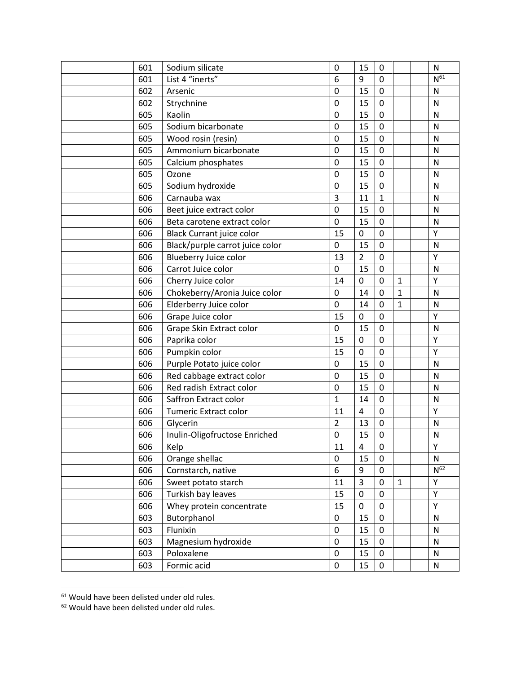| 601 | Sodium silicate                  | $\mathbf 0$    | 15             | 0            |              | $\mathsf{N}$ |
|-----|----------------------------------|----------------|----------------|--------------|--------------|--------------|
| 601 | List 4 "inerts"                  | 6              | 9              | $\mathbf 0$  |              | $N^{61}$     |
| 602 | Arsenic                          | 0              | 15             | $\mathbf 0$  |              | $\mathsf{N}$ |
| 602 | Strychnine                       | 0              | 15             | 0            |              | $\mathsf{N}$ |
| 605 | Kaolin                           | 0              | 15             | $\mathbf 0$  |              | $\mathsf{N}$ |
| 605 | Sodium bicarbonate               | $\pmb{0}$      | 15             | $\mathbf 0$  |              | $\mathsf{N}$ |
| 605 | Wood rosin (resin)               | 0              | 15             | 0            |              | N            |
| 605 | Ammonium bicarbonate             | 0              | 15             | 0            |              | $\mathsf{N}$ |
| 605 | Calcium phosphates               | $\pmb{0}$      | 15             | $\pmb{0}$    |              | $\mathsf{N}$ |
| 605 | Ozone                            | 0              | 15             | 0            |              | N            |
| 605 | Sodium hydroxide                 | $\pmb{0}$      | 15             | 0            |              | $\mathsf{N}$ |
| 606 | Carnauba wax                     | 3              | 11             | $\mathbf{1}$ |              | $\mathsf{N}$ |
| 606 | Beet juice extract color         | $\mathbf 0$    | 15             | $\mathbf 0$  |              | ${\sf N}$    |
| 606 | Beta carotene extract color      | 0              | 15             | 0            |              | N            |
| 606 | <b>Black Currant juice color</b> | 15             | 0              | $\pmb{0}$    |              | Υ            |
| 606 | Black/purple carrot juice color  | 0              | 15             | $\pmb{0}$    |              | $\mathsf{N}$ |
| 606 | Blueberry Juice color            | 13             | $\overline{2}$ | 0            |              | Υ            |
| 606 | Carrot Juice color               | 0              | 15             | $\mathbf 0$  |              | N            |
| 606 | Cherry Juice color               | 14             | 0              | $\mathbf 0$  | $\mathbf{1}$ | Υ            |
| 606 | Chokeberry/Aronia Juice color    | $\pmb{0}$      | 14             | $\mathbf 0$  | $\mathbf{1}$ | ${\sf N}$    |
| 606 | Elderberry Juice color           | 0              | 14             | $\mathbf 0$  | $\mathbf{1}$ | N            |
| 606 | Grape Juice color                | 15             | 0              | 0            |              | Υ            |
| 606 | Grape Skin Extract color         | $\mathbf 0$    | 15             | $\pmb{0}$    |              | $\mathsf{N}$ |
| 606 | Paprika color                    | 15             | 0              | $\mathbf 0$  |              | Υ            |
| 606 | Pumpkin color                    | 15             | 0              | $\pmb{0}$    |              | Υ            |
| 606 | Purple Potato juice color        | 0              | 15             | 0            |              | N            |
| 606 | Red cabbage extract color        | $\mathbf 0$    | 15             | $\mathbf 0$  |              | N            |
| 606 | Red radish Extract color         | 0              | 15             | 0            |              | $\mathsf{N}$ |
| 606 | Saffron Extract color            | $\mathbf{1}$   | 14             | 0            |              | ${\sf N}$    |
| 606 | Tumeric Extract color            | 11             | 4              | $\mathbf 0$  |              | Υ            |
| 606 | Glycerin                         | $\overline{2}$ | 13             | 0            |              | N            |
| 606 | Inulin-Oligofructose Enriched    | 0              | 15             | 0            |              | ${\sf N}$    |
| 606 | Kelp                             | 11             | 4              | 0            |              | Υ            |
| 606 | Orange shellac                   | 0              | 15             | 0            |              | ${\sf N}$    |
| 606 | Cornstarch, native               | 6              | 9              | 0            |              | $N^{62}$     |
| 606 | Sweet potato starch              | 11             | 3              | 0            | $\mathbf{1}$ | Υ            |
| 606 | Turkish bay leaves               | 15             | 0              | 0            |              | Υ            |
| 606 | Whey protein concentrate         | 15             | 0              | 0            |              | Υ            |
| 603 | Butorphanol                      | $\pmb{0}$      | 15             | 0            |              | ${\sf N}$    |
| 603 | Flunixin                         | $\pmb{0}$      | 15             | $\pmb{0}$    |              | ${\sf N}$    |
| 603 | Magnesium hydroxide              | $\pmb{0}$      | 15             | 0            |              | ${\sf N}$    |
| 603 | Poloxalene                       | 0              | 15             | 0            |              | $\mathsf{N}$ |
| 603 | Formic acid                      | $\pmb{0}$      | 15             | 0            |              | ${\sf N}$    |

Would have been delisted under old rules.

<sup>&</sup>lt;sup>62</sup> Would have been delisted under old rules.